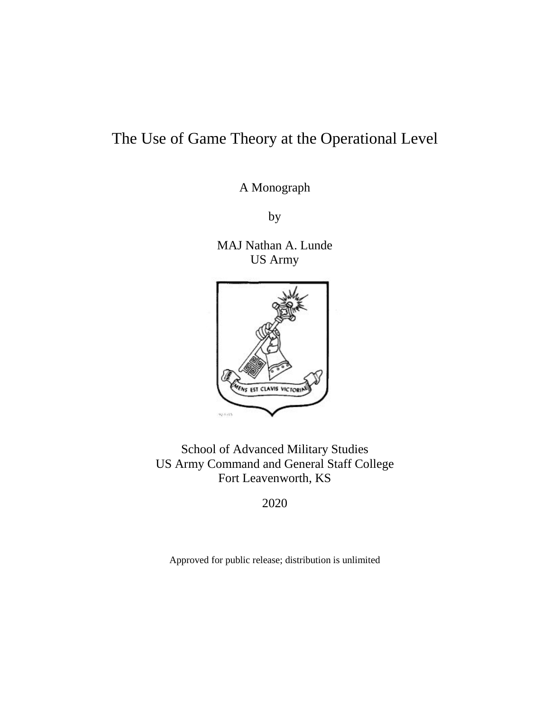# The Use of Game Theory at the Operational Level

A Monograph

by

MAJ Nathan A. Lunde US Army



School of Advanced Military Studies US Army Command and General Staff College Fort Leavenworth, KS

2020

Approved for public release; distribution is unlimited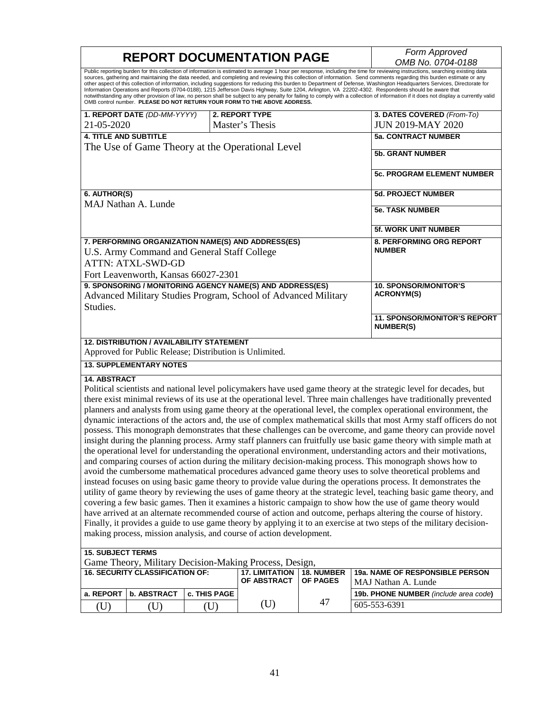| <b>REPORT DOCUMENTATION PAGE</b>                                                                                                                                                                                                                                                                                                                                                                                                                                                                                                                                                                                                                                                                                                                                                                                                                                                                                                                                                       | Form Approved                                                                                                 |  |  |  |  |
|----------------------------------------------------------------------------------------------------------------------------------------------------------------------------------------------------------------------------------------------------------------------------------------------------------------------------------------------------------------------------------------------------------------------------------------------------------------------------------------------------------------------------------------------------------------------------------------------------------------------------------------------------------------------------------------------------------------------------------------------------------------------------------------------------------------------------------------------------------------------------------------------------------------------------------------------------------------------------------------|---------------------------------------------------------------------------------------------------------------|--|--|--|--|
| OMB No. 0704-0188<br>Public reporting burden for this collection of information is estimated to average 1 hour per response, including the time for reviewing instructions, searching existing data<br>sources, gathering and maintaining the data needed, and completing and reviewing this collection of information. Send comments regarding this burden estimate or any<br>other aspect of this collection of information, including suggestions for reducing this burden to Department of Defense, Washington Headquarters Services, Directorate for<br>Information Operations and Reports (0704-0188), 1215 Jefferson Davis Highway, Suite 1204, Arlington, VA 22202-4302. Respondents should be aware that<br>notwithstanding any other provision of law, no person shall be subject to any penalty for failing to comply with a collection of information if it does not display a currently valid<br>OMB control number. PLEASE DO NOT RETURN YOUR FORM TO THE ABOVE ADDRESS. |                                                                                                               |  |  |  |  |
| 3. DATES COVERED (From-To)<br>1. REPORT DATE (DD-MM-YYYY)<br><b>2. REPORT TYPE</b><br>21-05-2020<br>Master's Thesis<br><b>JUN 2019-MAY 2020</b>                                                                                                                                                                                                                                                                                                                                                                                                                                                                                                                                                                                                                                                                                                                                                                                                                                        |                                                                                                               |  |  |  |  |
| <b>4. TITLE AND SUBTITLE</b><br><b>5a. CONTRACT NUMBER</b>                                                                                                                                                                                                                                                                                                                                                                                                                                                                                                                                                                                                                                                                                                                                                                                                                                                                                                                             |                                                                                                               |  |  |  |  |
| The Use of Game Theory at the Operational Level<br><b>5b. GRANT NUMBER</b>                                                                                                                                                                                                                                                                                                                                                                                                                                                                                                                                                                                                                                                                                                                                                                                                                                                                                                             |                                                                                                               |  |  |  |  |
|                                                                                                                                                                                                                                                                                                                                                                                                                                                                                                                                                                                                                                                                                                                                                                                                                                                                                                                                                                                        | <b>5c. PROGRAM ELEMENT NUMBER</b>                                                                             |  |  |  |  |
| 6. AUTHOR(S)<br><b>5d. PROJECT NUMBER</b>                                                                                                                                                                                                                                                                                                                                                                                                                                                                                                                                                                                                                                                                                                                                                                                                                                                                                                                                              |                                                                                                               |  |  |  |  |
| MAJ Nathan A. Lunde<br><b>5e. TASK NUMBER</b>                                                                                                                                                                                                                                                                                                                                                                                                                                                                                                                                                                                                                                                                                                                                                                                                                                                                                                                                          |                                                                                                               |  |  |  |  |
| 5f. WORK UNIT NUMBER                                                                                                                                                                                                                                                                                                                                                                                                                                                                                                                                                                                                                                                                                                                                                                                                                                                                                                                                                                   |                                                                                                               |  |  |  |  |
| 7. PERFORMING ORGANIZATION NAME(S) AND ADDRESS(ES)<br>8. PERFORMING ORG REPORT<br><b>NUMBER</b><br>U.S. Army Command and General Staff College<br><b>ATTN: ATXL-SWD-GD</b><br>Fort Leavenworth, Kansas 66027-2301                                                                                                                                                                                                                                                                                                                                                                                                                                                                                                                                                                                                                                                                                                                                                                      |                                                                                                               |  |  |  |  |
| 9. SPONSORING / MONITORING AGENCY NAME(S) AND ADDRESS(ES)<br><b>10. SPONSOR/MONITOR'S</b><br><b>ACRONYM(S)</b><br>Advanced Military Studies Program, School of Advanced Military<br>Studies.                                                                                                                                                                                                                                                                                                                                                                                                                                                                                                                                                                                                                                                                                                                                                                                           |                                                                                                               |  |  |  |  |
| <b>NUMBER(S)</b>                                                                                                                                                                                                                                                                                                                                                                                                                                                                                                                                                                                                                                                                                                                                                                                                                                                                                                                                                                       | 11. SPONSOR/MONITOR'S REPORT                                                                                  |  |  |  |  |
| <b>12. DISTRIBUTION / AVAILABILITY STATEMENT</b><br>Approved for Public Release; Distribution is Unlimited.                                                                                                                                                                                                                                                                                                                                                                                                                                                                                                                                                                                                                                                                                                                                                                                                                                                                            |                                                                                                               |  |  |  |  |
| <b>13. SUPPLEMENTARY NOTES</b>                                                                                                                                                                                                                                                                                                                                                                                                                                                                                                                                                                                                                                                                                                                                                                                                                                                                                                                                                         |                                                                                                               |  |  |  |  |
| <b>14. ABSTRACT</b>                                                                                                                                                                                                                                                                                                                                                                                                                                                                                                                                                                                                                                                                                                                                                                                                                                                                                                                                                                    |                                                                                                               |  |  |  |  |
| Political scientists and national level policymakers have used game theory at the strategic level for decades, but                                                                                                                                                                                                                                                                                                                                                                                                                                                                                                                                                                                                                                                                                                                                                                                                                                                                     |                                                                                                               |  |  |  |  |
| there exist minimal reviews of its use at the operational level. Three main challenges have traditionally prevented                                                                                                                                                                                                                                                                                                                                                                                                                                                                                                                                                                                                                                                                                                                                                                                                                                                                    |                                                                                                               |  |  |  |  |
| planners and analysts from using game theory at the operational level, the complex operational environment, the                                                                                                                                                                                                                                                                                                                                                                                                                                                                                                                                                                                                                                                                                                                                                                                                                                                                        |                                                                                                               |  |  |  |  |
| dynamic interactions of the actors and, the use of complex mathematical skills that most Army staff officers do not                                                                                                                                                                                                                                                                                                                                                                                                                                                                                                                                                                                                                                                                                                                                                                                                                                                                    |                                                                                                               |  |  |  |  |
| insight during the planning process. Army staff planners can fruitfully use basic game theory with simple math at                                                                                                                                                                                                                                                                                                                                                                                                                                                                                                                                                                                                                                                                                                                                                                                                                                                                      | possess. This monograph demonstrates that these challenges can be overcome, and game theory can provide novel |  |  |  |  |
| the operational level for understanding the operational environment, understanding actors and their motivations,                                                                                                                                                                                                                                                                                                                                                                                                                                                                                                                                                                                                                                                                                                                                                                                                                                                                       |                                                                                                               |  |  |  |  |
|                                                                                                                                                                                                                                                                                                                                                                                                                                                                                                                                                                                                                                                                                                                                                                                                                                                                                                                                                                                        |                                                                                                               |  |  |  |  |
| and comparing courses of action during the military decision-making process. This monograph shows how to                                                                                                                                                                                                                                                                                                                                                                                                                                                                                                                                                                                                                                                                                                                                                                                                                                                                               |                                                                                                               |  |  |  |  |
| avoid the cumbersome mathematical procedures advanced game theory uses to solve theoretical problems and                                                                                                                                                                                                                                                                                                                                                                                                                                                                                                                                                                                                                                                                                                                                                                                                                                                                               |                                                                                                               |  |  |  |  |
| instead focuses on using basic game theory to provide value during the operations process. It demonstrates the                                                                                                                                                                                                                                                                                                                                                                                                                                                                                                                                                                                                                                                                                                                                                                                                                                                                         |                                                                                                               |  |  |  |  |
| utility of game theory by reviewing the uses of game theory at the strategic level, teaching basic game theory, and                                                                                                                                                                                                                                                                                                                                                                                                                                                                                                                                                                                                                                                                                                                                                                                                                                                                    |                                                                                                               |  |  |  |  |
| covering a few basic games. Then it examines a historic campaign to show how the use of game theory would                                                                                                                                                                                                                                                                                                                                                                                                                                                                                                                                                                                                                                                                                                                                                                                                                                                                              |                                                                                                               |  |  |  |  |
| have arrived at an alternate recommended course of action and outcome, perhaps altering the course of history.                                                                                                                                                                                                                                                                                                                                                                                                                                                                                                                                                                                                                                                                                                                                                                                                                                                                         |                                                                                                               |  |  |  |  |
| Finally, it provides a guide to use game theory by applying it to an exercise at two steps of the military decision-<br>making process, mission analysis, and course of action development.                                                                                                                                                                                                                                                                                                                                                                                                                                                                                                                                                                                                                                                                                                                                                                                            |                                                                                                               |  |  |  |  |
| <b>15. SUBJECT TERMS</b>                                                                                                                                                                                                                                                                                                                                                                                                                                                                                                                                                                                                                                                                                                                                                                                                                                                                                                                                                               |                                                                                                               |  |  |  |  |
| Game Theory, Military Decision-Making Process, Design,<br><b>16. SECURITY CLASSIFICATION OF:</b><br><b>17. LIMITATION</b><br>19a. NAME OF RESPONSIBLE PERSON<br>18. NUMBER<br>OF ABSTRACT<br><b>OF PAGES</b>                                                                                                                                                                                                                                                                                                                                                                                                                                                                                                                                                                                                                                                                                                                                                                           |                                                                                                               |  |  |  |  |
| MAJ Nathan A. Lunde<br>b. ABSTRACT<br>c. THIS PAGE<br>a. REPORT<br>19b. PHONE NUMBER (include area code)                                                                                                                                                                                                                                                                                                                                                                                                                                                                                                                                                                                                                                                                                                                                                                                                                                                                               |                                                                                                               |  |  |  |  |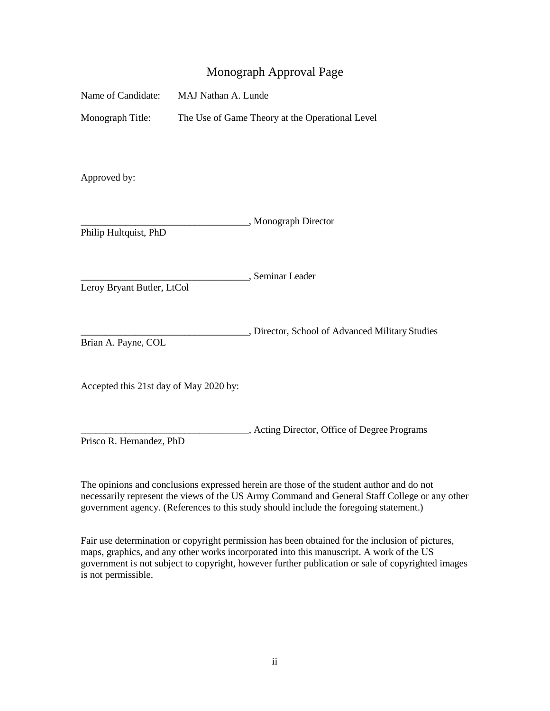## Monograph Approval Page

| Name of Candidate:                     | MAJ Nathan A. Lunde                             |                                                 |  |  |
|----------------------------------------|-------------------------------------------------|-------------------------------------------------|--|--|
| Monograph Title:                       | The Use of Game Theory at the Operational Level |                                                 |  |  |
| Approved by:                           |                                                 |                                                 |  |  |
| Philip Hultquist, PhD                  |                                                 | , Monograph Director                            |  |  |
| Leroy Bryant Butler, LtCol             |                                                 | , Seminar Leader                                |  |  |
| Brian A. Payne, COL                    |                                                 | , Director, School of Advanced Military Studies |  |  |
| Accepted this 21st day of May 2020 by: |                                                 |                                                 |  |  |
| Prisco R. Hernandez, PhD               |                                                 | , Acting Director, Office of Degree Programs    |  |  |

The opinions and conclusions expressed herein are those of the student author and do not necessarily represent the views of the US Army Command and General Staff College or any other government agency. (References to this study should include the foregoing statement.)

Fair use determination or copyright permission has been obtained for the inclusion of pictures, maps, graphics, and any other works incorporated into this manuscript. A work of the US government is not subject to copyright, however further publication or sale of copyrighted images is not permissible.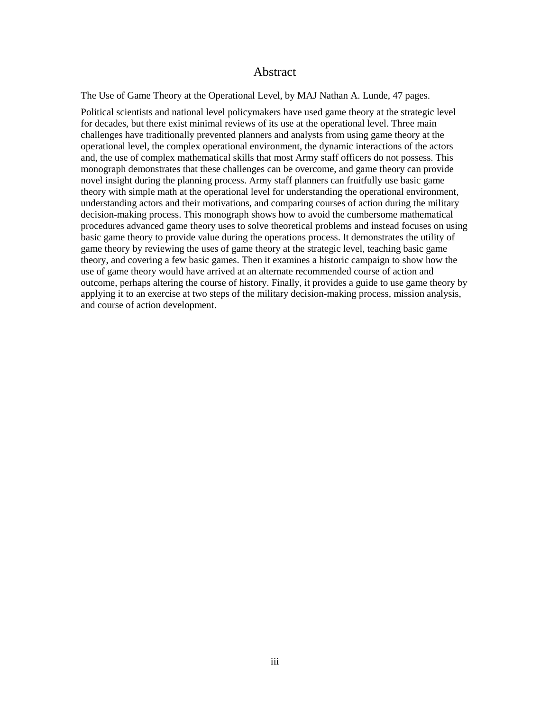#### Abstract

The Use of Game Theory at the Operational Level, by MAJ Nathan A. Lunde, 47 pages.

Political scientists and national level policymakers have used game theory at the strategic level for decades, but there exist minimal reviews of its use at the operational level. Three main challenges have traditionally prevented planners and analysts from using game theory at the operational level, the complex operational environment, the dynamic interactions of the actors and, the use of complex mathematical skills that most Army staff officers do not possess. This monograph demonstrates that these challenges can be overcome, and game theory can provide novel insight during the planning process. Army staff planners can fruitfully use basic game theory with simple math at the operational level for understanding the operational environment, understanding actors and their motivations, and comparing courses of action during the military decision-making process. This monograph shows how to avoid the cumbersome mathematical procedures advanced game theory uses to solve theoretical problems and instead focuses on using basic game theory to provide value during the operations process. It demonstrates the utility of game theory by reviewing the uses of game theory at the strategic level, teaching basic game theory, and covering a few basic games. Then it examines a historic campaign to show how the use of game theory would have arrived at an alternate recommended course of action and outcome, perhaps altering the course of history. Finally, it provides a guide to use game theory by applying it to an exercise at two steps of the military decision-making process, mission analysis, and course of action development.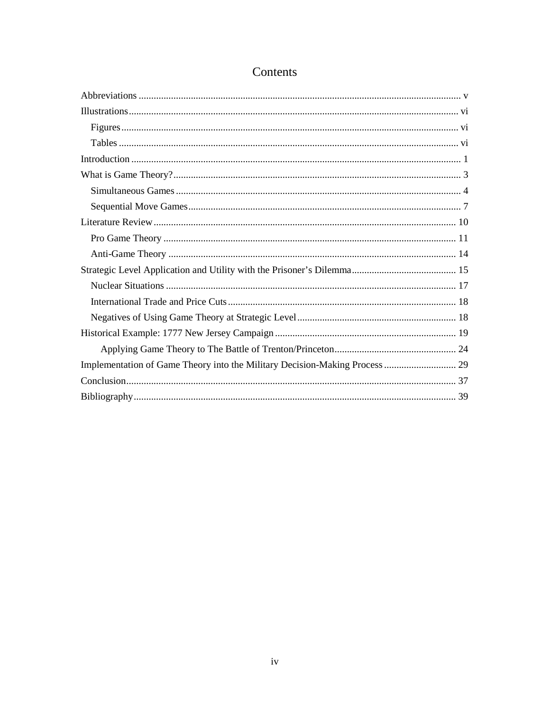# Contents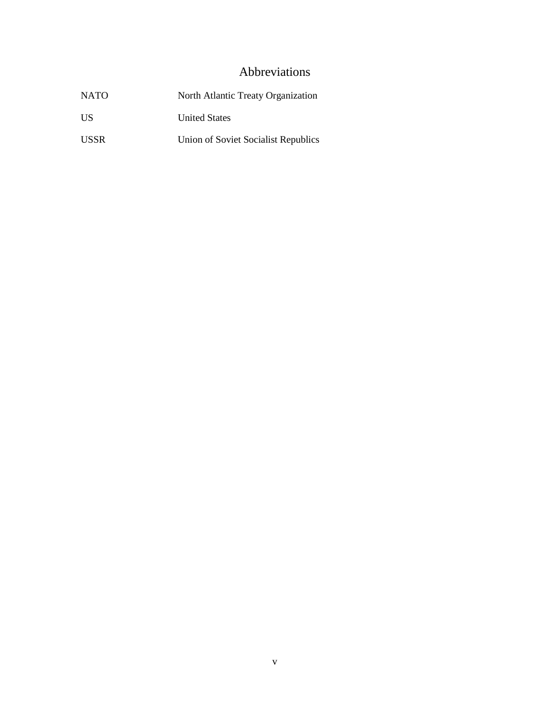## Abbreviations

<span id="page-5-0"></span>

| <b>NATO</b> | North Atlantic Treaty Organization  |
|-------------|-------------------------------------|
| <b>IIS</b>  | <b>United States</b>                |
| <b>USSR</b> | Union of Soviet Socialist Republics |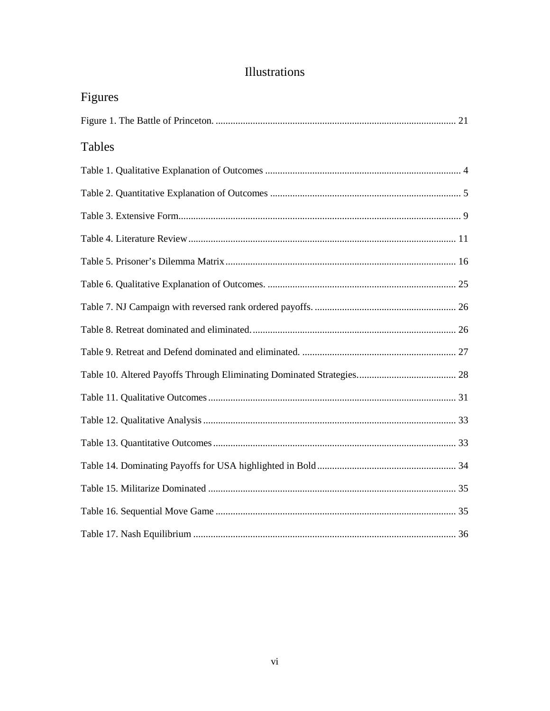<span id="page-6-2"></span><span id="page-6-1"></span><span id="page-6-0"></span>

| Figures |
|---------|
|         |
| Tables  |
|         |
|         |
|         |
|         |
|         |
|         |
|         |
|         |
|         |
|         |
|         |
|         |
|         |
|         |
|         |
|         |
|         |

# Illustrations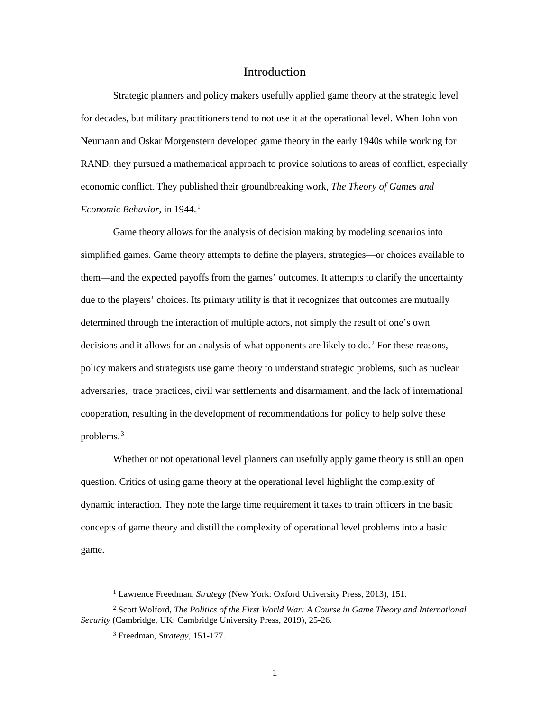## Introduction

<span id="page-7-0"></span>Strategic planners and policy makers usefully applied game theory at the strategic level for decades, but military practitioners tend to not use it at the operational level. When John von Neumann and Oskar Morgenstern developed game theory in the early 1940s while working for RAND, they pursued a mathematical approach to provide solutions to areas of conflict, especially economic conflict. They published their groundbreaking work, *The Theory of Games and Economic Behavior*, in 1944.<sup>1</sup>

Game theory allows for the analysis of decision making by modeling scenarios into simplified games. Game theory attempts to define the players, strategies—or choices available to them—and the expected payoffs from the games' outcomes. It attempts to clarify the uncertainty due to the players' choices. Its primary utility is that it recognizes that outcomes are mutually determined through the interaction of multiple actors, not simply the result of one's own decisions and it allows for an analysis of what opponents are likely to do.<sup>2</sup> For these reasons, policy makers and strategists use game theory to understand strategic problems, such as nuclear adversaries, trade practices, civil war settlements and disarmament, and the lack of international cooperation, resulting in the development of recommendations for policy to help solve these problems. $3$ 

Whether or not operational level planners can usefully apply game theory is still an open question. Critics of using game theory at the operational level highlight the complexity of dynamic interaction. They note the large time requirement it takes to train officers in the basic concepts of game theory and distill the complexity of operational level problems into a basic game.

<sup>&</sup>lt;sup>1</sup> Lawrence Freedman, *Strategy* (New York: Oxford University Press, 2013), 151.

<sup>2</sup> Scott Wolford, *The Politics of the First World War: A Course in Game Theory and International Security* (Cambridge, UK: Cambridge University Press, 2019), 25-26.

<sup>3</sup> Freedman, *Strategy*, 151-177.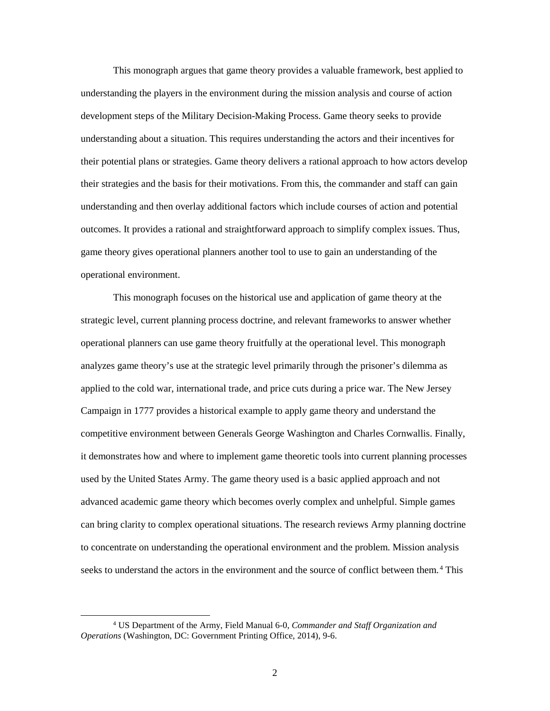This monograph argues that game theory provides a valuable framework, best applied to understanding the players in the environment during the mission analysis and course of action development steps of the Military Decision-Making Process. Game theory seeks to provide understanding about a situation. This requires understanding the actors and their incentives for their potential plans or strategies. Game theory delivers a rational approach to how actors develop their strategies and the basis for their motivations. From this, the commander and staff can gain understanding and then overlay additional factors which include courses of action and potential outcomes. It provides a rational and straightforward approach to simplify complex issues. Thus, game theory gives operational planners another tool to use to gain an understanding of the operational environment.

This monograph focuses on the historical use and application of game theory at the strategic level, current planning process doctrine, and relevant frameworks to answer whether operational planners can use game theory fruitfully at the operational level. This monograph analyzes game theory's use at the strategic level primarily through the prisoner's dilemma as applied to the cold war, international trade, and price cuts during a price war. The New Jersey Campaign in 1777 provides a historical example to apply game theory and understand the competitive environment between Generals George Washington and Charles Cornwallis. Finally, it demonstrates how and where to implement game theoretic tools into current planning processes used by the United States Army. The game theory used is a basic applied approach and not advanced academic game theory which becomes overly complex and unhelpful. Simple games can bring clarity to complex operational situations. The research reviews Army planning doctrine to concentrate on understanding the operational environment and the problem. Mission analysis seeks to understand the actors in the environment and the source of conflict between them.<sup>4</sup> This

 <sup>4</sup> US Department of the Army, Field Manual 6-0, *Commander and Staff Organization and Operations* (Washington, DC: Government Printing Office, 2014), 9-6.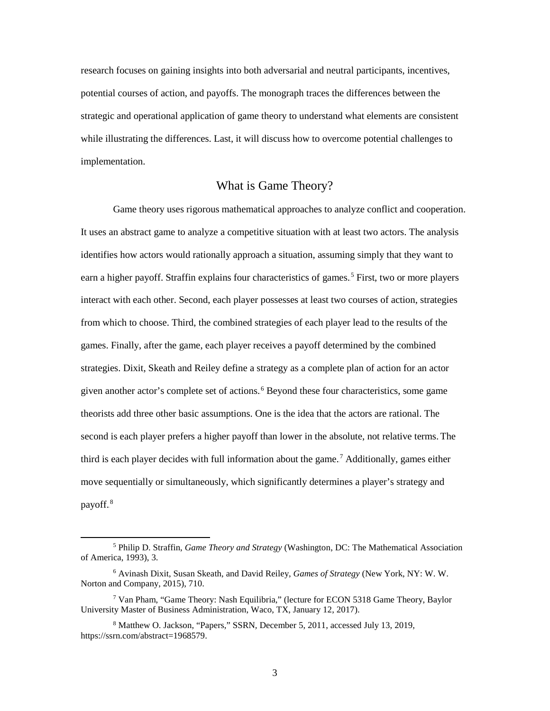research focuses on gaining insights into both adversarial and neutral participants, incentives, potential courses of action, and payoffs. The monograph traces the differences between the strategic and operational application of game theory to understand what elements are consistent while illustrating the differences. Last, it will discuss how to overcome potential challenges to implementation.

#### What is Game Theory?

<span id="page-9-0"></span>Game theory uses rigorous mathematical approaches to analyze conflict and cooperation. It uses an abstract game to analyze a competitive situation with at least two actors. The analysis identifies how actors would rationally approach a situation, assuming simply that they want to earn a higher payoff. Straffin explains four characteristics of games.<sup>5</sup> First, two or more players interact with each other. Second, each player possesses at least two courses of action, strategies from which to choose. Third, the combined strategies of each player lead to the results of the games. Finally, after the game, each player receives a payoff determined by the combined strategies. Dixit, Skeath and Reiley define a strategy as a complete plan of action for an actor given another actor's complete set of actions.<sup>6</sup> Beyond these four characteristics, some game theorists add three other basic assumptions. One is the idea that the actors are rational. The second is each player prefers a higher payoff than lower in the absolute, not relative terms. The third is each player decides with full information about the game.<sup>7</sup> Additionally, games either move sequentially or simultaneously, which significantly determines a player's strategy and payoff.<sup>8</sup>

 <sup>5</sup> Philip D. Straffin, *Game Theory and Strategy* (Washington, DC: The Mathematical Association of America, 1993), 3.

<sup>6</sup> Avinash Dixit, Susan Skeath, and David Reiley, *Games of Strategy* (New York, NY: W. W. Norton and Company, 2015), 710.

<sup>7</sup> Van Pham, "Game Theory: Nash Equilibria," (lecture for ECON 5318 Game Theory, Baylor University Master of Business Administration, Waco, TX, January 12, 2017).

<sup>8</sup> Matthew O. Jackson, "Papers," SSRN*,* December 5, 2011, accessed July 13, 2019, https://ssrn.com/abstract=1968579.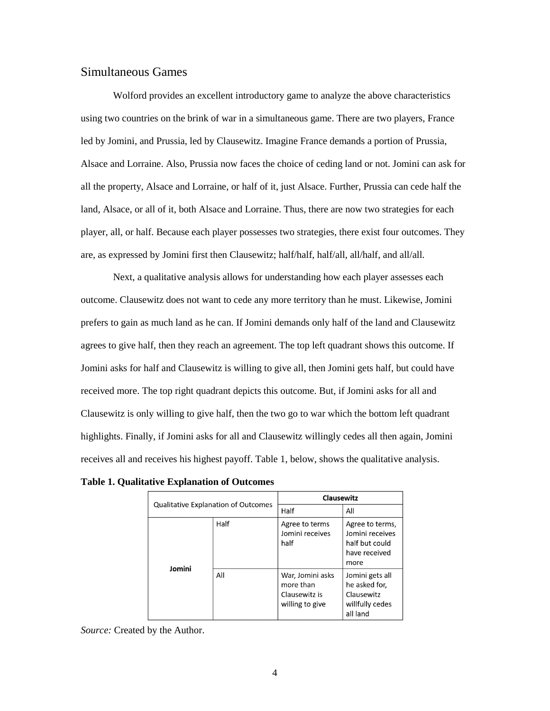#### <span id="page-10-0"></span>Simultaneous Games

Wolford provides an excellent introductory game to analyze the above characteristics using two countries on the brink of war in a simultaneous game. There are two players, France led by Jomini, and Prussia, led by Clausewitz. Imagine France demands a portion of Prussia, Alsace and Lorraine. Also, Prussia now faces the choice of ceding land or not. Jomini can ask for all the property, Alsace and Lorraine, or half of it, just Alsace. Further, Prussia can cede half the land, Alsace, or all of it, both Alsace and Lorraine. Thus, there are now two strategies for each player, all, or half. Because each player possesses two strategies, there exist four outcomes. They are, as expressed by Jomini first then Clausewitz; half/half, half/all, all/half, and all/all.

Next, a qualitative analysis allows for understanding how each player assesses each outcome. Clausewitz does not want to cede any more territory than he must. Likewise, Jomini prefers to gain as much land as he can. If Jomini demands only half of the land and Clausewitz agrees to give half, then they reach an agreement. The top left quadrant shows this outcome. If Jomini asks for half and Clausewitz is willing to give all, then Jomini gets half, but could have received more. The top right quadrant depicts this outcome. But, if Jomini asks for all and Clausewitz is only willing to give half, then the two go to war which the bottom left quadrant highlights. Finally, if Jomini asks for all and Clausewitz willingly cedes all then again, Jomini receives all and receives his highest payoff. [Table 1,](#page-10-1) below, shows the qualitative analysis.

<span id="page-10-1"></span>**Table 1. Qualitative Explanation of Outcomes** 

| <b>Qualitative Explanation of Outcomes</b> |      | Clausewitz                                                        |                                                                               |
|--------------------------------------------|------|-------------------------------------------------------------------|-------------------------------------------------------------------------------|
|                                            |      | Half                                                              | All                                                                           |
| Jomini                                     | Half | Agree to terms<br>Jomini receives<br>half                         | Agree to terms,<br>Jomini receives<br>half but could<br>have received<br>more |
|                                            | All  | War, Jomini asks<br>more than<br>Clausewitz is<br>willing to give | Jomini gets all<br>he asked for,<br>Clausewitz<br>willfully cedes<br>all land |

*Source:* Created by the Author.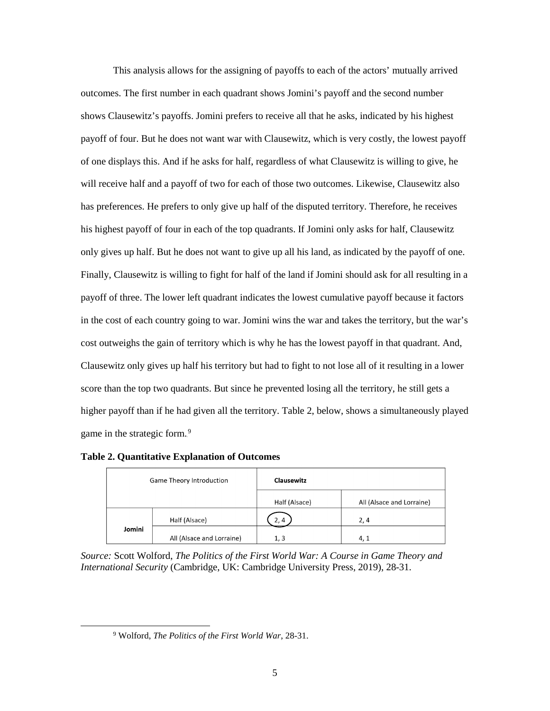This analysis allows for the assigning of payoffs to each of the actors' mutually arrived outcomes. The first number in each quadrant shows Jomini's payoff and the second number shows Clausewitz's payoffs. Jomini prefers to receive all that he asks, indicated by his highest payoff of four. But he does not want war with Clausewitz, which is very costly, the lowest payoff of one displays this. And if he asks for half, regardless of what Clausewitz is willing to give, he will receive half and a payoff of two for each of those two outcomes. Likewise, Clausewitz also has preferences. He prefers to only give up half of the disputed territory. Therefore, he receives his highest payoff of four in each of the top quadrants. If Jomini only asks for half, Clausewitz only gives up half. But he does not want to give up all his land, as indicated by the payoff of one. Finally, Clausewitz is willing to fight for half of the land if Jomini should ask for all resulting in a payoff of three. The lower left quadrant indicates the lowest cumulative payoff because it factors in the cost of each country going to war. Jomini wins the war and takes the territory, but the war's cost outweighs the gain of territory which is why he has the lowest payoff in that quadrant. And, Clausewitz only gives up half his territory but had to fight to not lose all of it resulting in a lower score than the top two quadrants. But since he prevented losing all the territory, he still gets a higher payoff than if he had given all the territory. [Table 2,](#page-11-0) below, shows a simultaneously played game in the strategic form.<sup>9</sup>

<span id="page-11-0"></span>

|  | <b>Table 2. Quantitative Explanation of Outcomes</b> |  |  |
|--|------------------------------------------------------|--|--|
|--|------------------------------------------------------|--|--|

| <b>Game Theory Introduction</b> |                           | <b>Clausewitz</b> |                           |
|---------------------------------|---------------------------|-------------------|---------------------------|
|                                 |                           | Half (Alsace)     | All (Alsace and Lorraine) |
|                                 | Half (Alsace)             | 2, 4              | 2,4                       |
| Jomini                          | All (Alsace and Lorraine) | 1, 3              | 4, 1                      |

*Source:* Scott Wolford, *The Politics of the First World War: A Course in Game Theory and International Security* (Cambridge, UK: Cambridge University Press, 2019), 28-31.

 <sup>9</sup> Wolford, *The Politics of the First World War*, 28-31.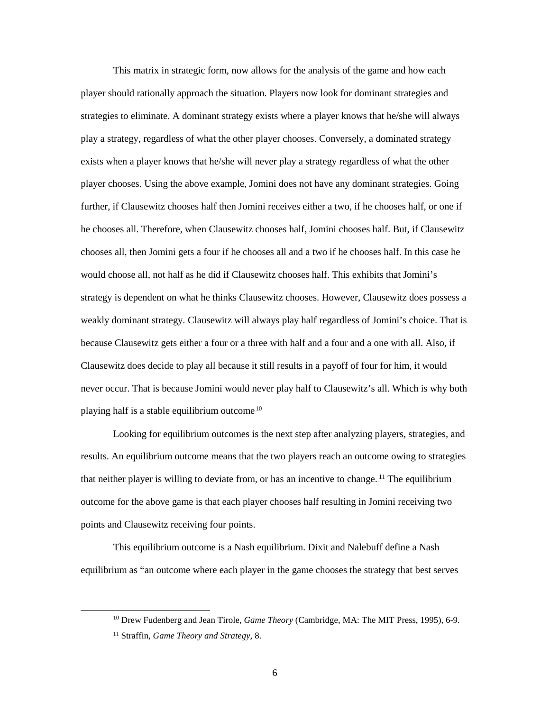This matrix in strategic form, now allows for the analysis of the game and how each player should rationally approach the situation. Players now look for dominant strategies and strategies to eliminate. A dominant strategy exists where a player knows that he/she will always play a strategy, regardless of what the other player chooses. Conversely, a dominated strategy exists when a player knows that he/she will never play a strategy regardless of what the other player chooses. Using the above example, Jomini does not have any dominant strategies. Going further, if Clausewitz chooses half then Jomini receives either a two, if he chooses half, or one if he chooses all. Therefore, when Clausewitz chooses half, Jomini chooses half. But, if Clausewitz chooses all, then Jomini gets a four if he chooses all and a two if he chooses half. In this case he would choose all, not half as he did if Clausewitz chooses half. This exhibits that Jomini's strategy is dependent on what he thinks Clausewitz chooses. However, Clausewitz does possess a weakly dominant strategy. Clausewitz will always play half regardless of Jomini's choice. That is because Clausewitz gets either a four or a three with half and a four and a one with all. Also, if Clausewitz does decide to play all because it still results in a payoff of four for him, it would never occur. That is because Jomini would never play half to Clausewitz's all. Which is why both playing half is a stable equilibrium outcome. $^{10}$ 

Looking for equilibrium outcomes is the next step after analyzing players, strategies, and results. An equilibrium outcome means that the two players reach an outcome owing to strategies that neither player is willing to deviate from, or has an incentive to change.<sup>11</sup> The equilibrium outcome for the above game is that each player chooses half resulting in Jomini receiving two points and Clausewitz receiving four points.

This equilibrium outcome is a Nash equilibrium. Dixit and Nalebuff define a Nash equilibrium as "an outcome where each player in the game chooses the strategy that best serves

 <sup>10</sup> Drew Fudenberg and Jean Tirole, *Game Theory* (Cambridge, MA: The MIT Press, 1995), 6-9.

<sup>11</sup> Straffin, *Game Theory and Strategy*, 8.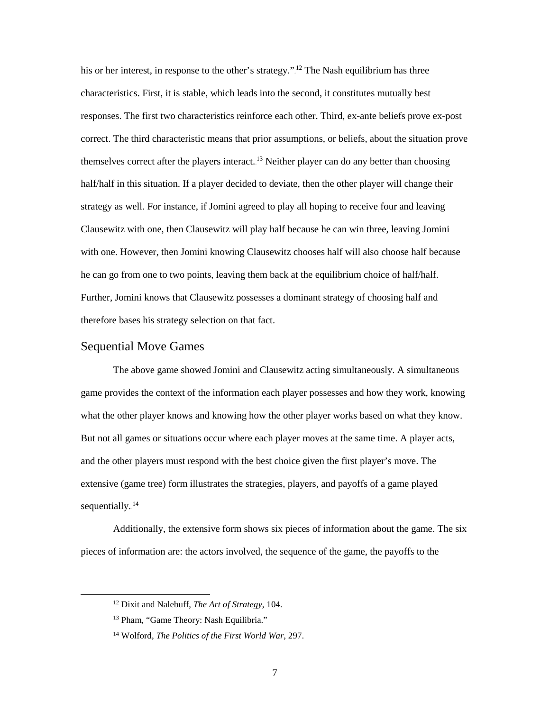his or her interest, in response to the other's strategy."<sup>12</sup> The Nash equilibrium has three characteristics. First, it is stable, which leads into the second, it constitutes mutually best responses. The first two characteristics reinforce each other. Third, ex-ante beliefs prove ex-post correct. The third characteristic means that prior assumptions, or beliefs, about the situation prove themselves correct after the players interact.<sup>13</sup> Neither player can do any better than choosing half/half in this situation. If a player decided to deviate, then the other player will change their strategy as well. For instance, if Jomini agreed to play all hoping to receive four and leaving Clausewitz with one, then Clausewitz will play half because he can win three, leaving Jomini with one. However, then Jomini knowing Clausewitz chooses half will also choose half because he can go from one to two points, leaving them back at the equilibrium choice of half/half. Further, Jomini knows that Clausewitz possesses a dominant strategy of choosing half and therefore bases his strategy selection on that fact.

#### <span id="page-13-0"></span>Sequential Move Games

The above game showed Jomini and Clausewitz acting simultaneously. A simultaneous game provides the context of the information each player possesses and how they work, knowing what the other player knows and knowing how the other player works based on what they know. But not all games or situations occur where each player moves at the same time. A player acts, and the other players must respond with the best choice given the first player's move. The extensive (game tree) form illustrates the strategies, players, and payoffs of a game played sequentially.<sup>14</sup>

Additionally, the extensive form shows six pieces of information about the game. The six pieces of information are: the actors involved, the sequence of the game, the payoffs to the

 <sup>12</sup> Dixit and Nalebuff, *The Art of Strategy*, 104.

<sup>13</sup> Pham, "Game Theory: Nash Equilibria."

<sup>14</sup> Wolford, *The Politics of the First World War*, 297.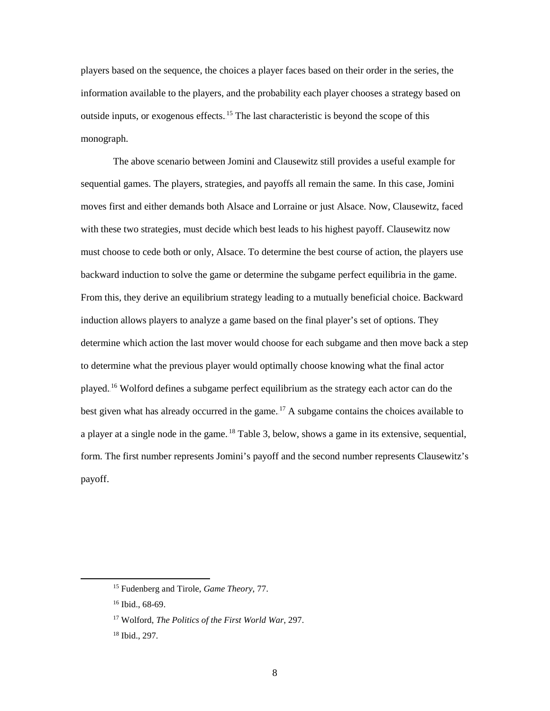players based on the sequence, the choices a player faces based on their order in the series, the information available to the players, and the probability each player chooses a strategy based on outside inputs, or exogenous effects.<sup>15</sup> The last characteristic is beyond the scope of this monograph.

The above scenario between Jomini and Clausewitz still provides a useful example for sequential games. The players, strategies, and payoffs all remain the same. In this case, Jomini moves first and either demands both Alsace and Lorraine or just Alsace. Now, Clausewitz, faced with these two strategies, must decide which best leads to his highest payoff. Clausewitz now must choose to cede both or only, Alsace. To determine the best course of action, the players use backward induction to solve the game or determine the subgame perfect equilibria in the game. From this, they derive an equilibrium strategy leading to a mutually beneficial choice. Backward induction allows players to analyze a game based on the final player's set of options. They determine which action the last mover would choose for each subgame and then move back a step to determine what the previous player would optimally choose knowing what the final actor played.<sup>16</sup> Wolford defines a subgame perfect equilibrium as the strategy each actor can do the best given what has already occurred in the game.<sup>17</sup> A subgame contains the choices available to a player at a single node in the game.<sup>18</sup> [Table 3,](#page-15-0) below, shows a game in its extensive, sequential, form. The first number represents Jomini's payoff and the second number represents Clausewitz's payoff.

 <sup>15</sup> Fudenberg and Tirole, *Game Theory*, 77.

<sup>16</sup> Ibid., 68-69.

<sup>17</sup> Wolford, *The Politics of the First World War*, 297.

<sup>18</sup> Ibid., 297.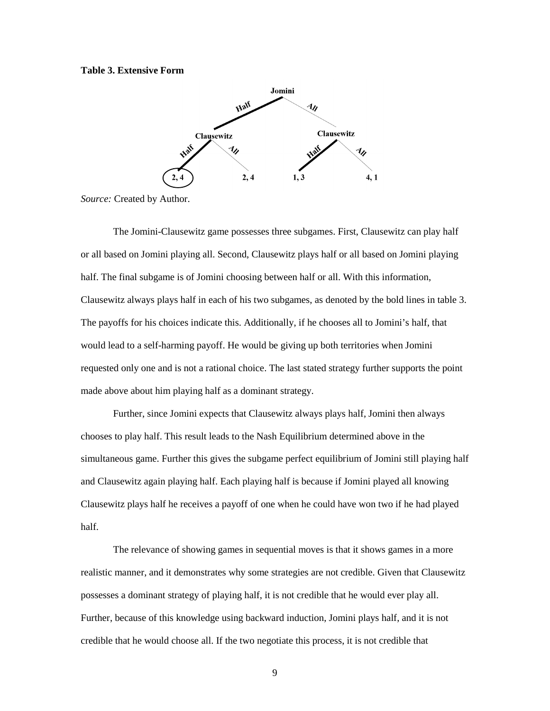#### <span id="page-15-0"></span>**Table 3. Extensive Form**



*Source:* Created by Author.

The Jomini-Clausewitz game possesses three subgames. First, Clausewitz can play half or all based on Jomini playing all. Second, Clausewitz plays half or all based on Jomini playing half. The final subgame is of Jomini choosing between half or all. With this information, Clausewitz always plays half in each of his two subgames, as denoted by the bold lines in [table 3.](#page-15-0) The payoffs for his choices indicate this. Additionally, if he chooses all to Jomini's half, that would lead to a self-harming payoff. He would be giving up both territories when Jomini requested only one and is not a rational choice. The last stated strategy further supports the point made above about him playing half as a dominant strategy.

Further, since Jomini expects that Clausewitz always plays half, Jomini then always chooses to play half. This result leads to the Nash Equilibrium determined above in the simultaneous game. Further this gives the subgame perfect equilibrium of Jomini still playing half and Clausewitz again playing half. Each playing half is because if Jomini played all knowing Clausewitz plays half he receives a payoff of one when he could have won two if he had played half.

The relevance of showing games in sequential moves is that it shows games in a more realistic manner, and it demonstrates why some strategies are not credible. Given that Clausewitz possesses a dominant strategy of playing half, it is not credible that he would ever play all. Further, because of this knowledge using backward induction, Jomini plays half, and it is not credible that he would choose all. If the two negotiate this process, it is not credible that

9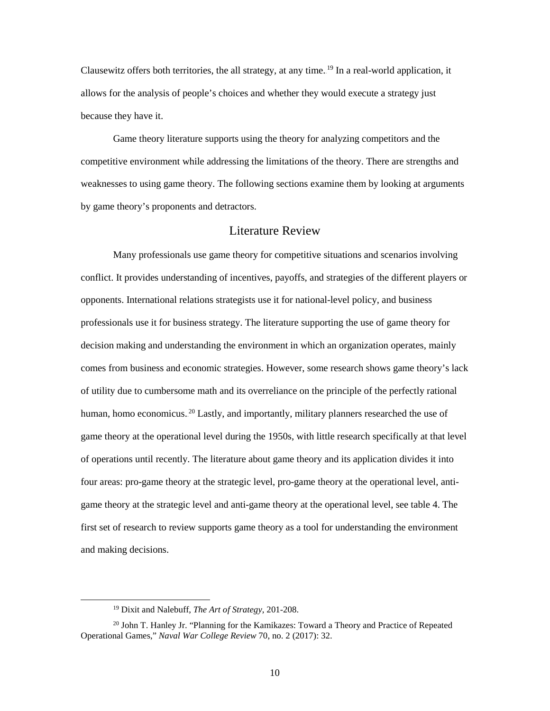Clausewitz offers both territories, the all strategy, at any time.<sup>19</sup> In a real-world application, it allows for the analysis of people's choices and whether they would execute a strategy just because they have it.

Game theory literature supports using the theory for analyzing competitors and the competitive environment while addressing the limitations of the theory. There are strengths and weaknesses to using game theory. The following sections examine them by looking at arguments by game theory's proponents and detractors.

#### Literature Review

<span id="page-16-0"></span>Many professionals use game theory for competitive situations and scenarios involving conflict. It provides understanding of incentives, payoffs, and strategies of the different players or opponents. International relations strategists use it for national-level policy, and business professionals use it for business strategy. The literature supporting the use of game theory for decision making and understanding the environment in which an organization operates, mainly comes from business and economic strategies. However, some research shows game theory's lack of utility due to cumbersome math and its overreliance on the principle of the perfectly rational human, homo economicus.<sup>20</sup> Lastly, and importantly, military planners researched the use of game theory at the operational level during the 1950s, with little research specifically at that level of operations until recently. The literature about game theory and its application divides it into four areas: pro-game theory at the strategic level, pro-game theory at the operational level, antigame theory at the strategic level and anti-game theory at the operational level, see [table 4.](#page-17-1) The first set of research to review supports game theory as a tool for understanding the environment and making decisions.

 <sup>19</sup> Dixit and Nalebuff, *The Art of Strategy*, 201-208.

<sup>20</sup> John T. Hanley Jr. "Planning for the Kamikazes: Toward a Theory and Practice of Repeated Operational Games," *Naval War College Review* 70, no. 2 (2017): 32.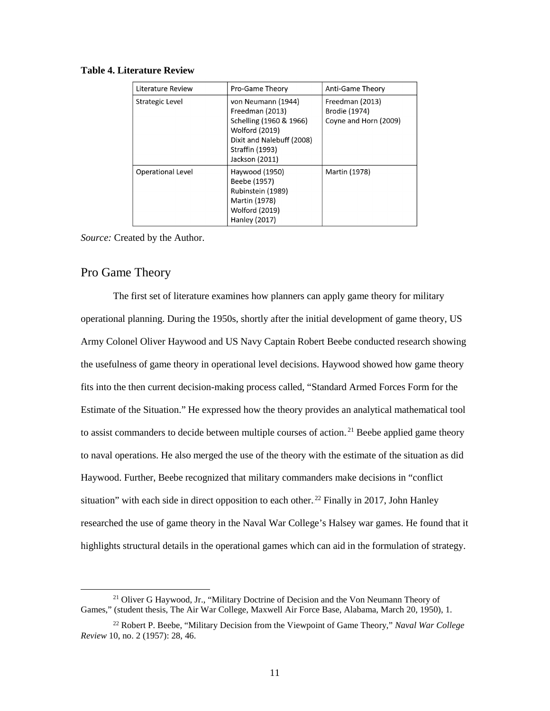| Literature Review        | Pro-Game Theory                                                                                                                                                    | Anti-Game Theory                                          |
|--------------------------|--------------------------------------------------------------------------------------------------------------------------------------------------------------------|-----------------------------------------------------------|
| Strategic Level          | von Neumann (1944)<br>Freedman (2013)<br>Schelling (1960 & 1966)<br><b>Wolford (2019)</b><br>Dixit and Nalebuff (2008)<br><b>Straffin (1993)</b><br>Jackson (2011) | Freedman (2013)<br>Brodie (1974)<br>Coyne and Horn (2009) |
| <b>Operational Level</b> | Haywood (1950)<br>Beebe (1957)<br>Rubinstein (1989)<br>Martin (1978)<br><b>Wolford (2019)</b><br>Hanley (2017)                                                     | Martin (1978)                                             |

#### <span id="page-17-1"></span>**Table 4. Literature Review**

*Source:* Created by the Author.

## <span id="page-17-0"></span>Pro Game Theory

The first set of literature examines how planners can apply game theory for military operational planning. During the 1950s, shortly after the initial development of game theory, US Army Colonel Oliver Haywood and US Navy Captain Robert Beebe conducted research showing the usefulness of game theory in operational level decisions. Haywood showed how game theory fits into the then current decision-making process called, "Standard Armed Forces Form for the Estimate of the Situation." He expressed how the theory provides an analytical mathematical tool to assist commanders to decide between multiple courses of action.<sup>21</sup> Beebe applied game theory to naval operations. He also merged the use of the theory with the estimate of the situation as did Haywood. Further, Beebe recognized that military commanders make decisions in "conflict situation" with each side in direct opposition to each other.<sup>22</sup> Finally in 2017, John Hanley researched the use of game theory in the Naval War College's Halsey war games. He found that it highlights structural details in the operational games which can aid in the formulation of strategy.

<sup>&</sup>lt;sup>21</sup> Oliver G Haywood, Jr., "Military Doctrine of Decision and the Von Neumann Theory of Games," (student thesis, The Air War College, Maxwell Air Force Base, Alabama, March 20, 1950), 1.

<sup>22</sup> Robert P. Beebe, "Military Decision from the Viewpoint of Game Theory," *Naval War College Review* 10, no. 2 (1957): 28, 46.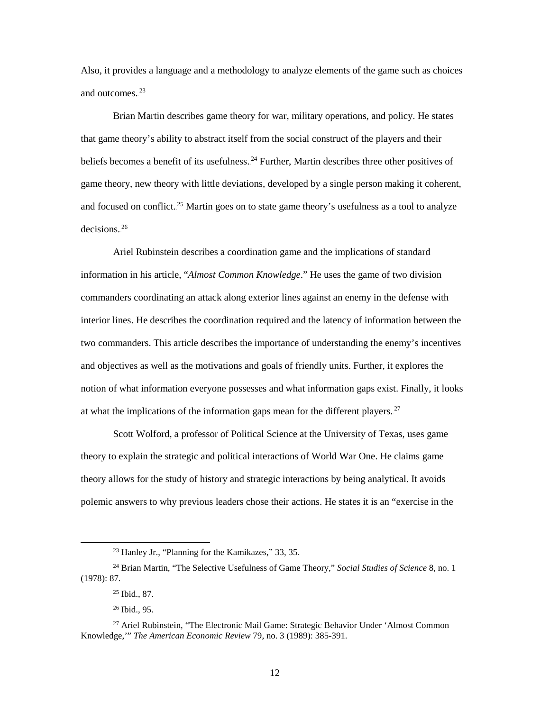Also, it provides a language and a methodology to analyze elements of the game such as choices and outcomes.<sup>23</sup>

Brian Martin describes game theory for war, military operations, and policy. He states that game theory's ability to abstract itself from the social construct of the players and their beliefs becomes a benefit of its usefulness.<sup>24</sup> Further, Martin describes three other positives of game theory, new theory with little deviations, developed by a single person making it coherent, and focused on conflict.<sup>25</sup> Martin goes on to state game theory's usefulness as a tool to analyze  $decisions.<sup>26</sup>$ 

Ariel Rubinstein describes a coordination game and the implications of standard information in his article, "*Almost Common Knowledge*." He uses the game of two division commanders coordinating an attack along exterior lines against an enemy in the defense with interior lines. He describes the coordination required and the latency of information between the two commanders. This article describes the importance of understanding the enemy's incentives and objectives as well as the motivations and goals of friendly units. Further, it explores the notion of what information everyone possesses and what information gaps exist. Finally, it looks at what the implications of the information gaps mean for the different players.<sup>27</sup>

Scott Wolford, a professor of Political Science at the University of Texas, uses game theory to explain the strategic and political interactions of World War One. He claims game theory allows for the study of history and strategic interactions by being analytical. It avoids polemic answers to why previous leaders chose their actions. He states it is an "exercise in the

 <sup>23</sup> Hanley Jr., "Planning for the Kamikazes," 33, 35.

<sup>24</sup> Brian Martin, "The Selective Usefulness of Game Theory," *Social Studies of Science* 8, no. 1 (1978): 87.

<sup>25</sup> Ibid., 87.

<sup>26</sup> Ibid., 95.

<sup>&</sup>lt;sup>27</sup> Ariel Rubinstein, "The Electronic Mail Game: Strategic Behavior Under 'Almost Common Knowledge,'" *The American Economic Review* 79, no. 3 (1989): 385-391.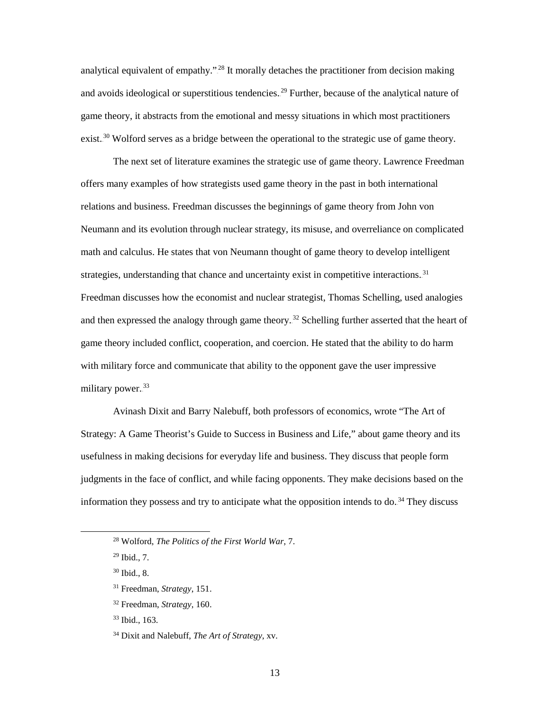analytical equivalent of empathy."<sup>28</sup> It morally detaches the practitioner from decision making and avoids ideological or superstitious tendencies.<sup>29</sup> Further, because of the analytical nature of game theory, it abstracts from the emotional and messy situations in which most practitioners exist.<sup>30</sup> Wolford serves as a bridge between the operational to the strategic use of game theory.

The next set of literature examines the strategic use of game theory. Lawrence Freedman offers many examples of how strategists used game theory in the past in both international relations and business. Freedman discusses the beginnings of game theory from John von Neumann and its evolution through nuclear strategy, its misuse, and overreliance on complicated math and calculus. He states that von Neumann thought of game theory to develop intelligent strategies, understanding that chance and uncertainty exist in competitive interactions.<sup>31</sup> Freedman discusses how the economist and nuclear strategist, Thomas Schelling, used analogies and then expressed the analogy through game theory.<sup>32</sup> Schelling further asserted that the heart of game theory included conflict, cooperation, and coercion. He stated that the ability to do harm with military force and communicate that ability to the opponent gave the user impressive military power.<sup>33</sup>

Avinash Dixit and Barry Nalebuff, both professors of economics, wrote "The Art of Strategy: A Game Theorist's Guide to Success in Business and Life," about game theory and its usefulness in making decisions for everyday life and business. They discuss that people form judgments in the face of conflict, and while facing opponents. They make decisions based on the information they possess and try to anticipate what the opposition intends to do.<sup>34</sup> They discuss

28 Wolford, *The Politics of the First World War*, 7.

 $29$  Ibid., 7.

<sup>30</sup> Ibid., 8.

<sup>33</sup> Ibid., 163.

<sup>31</sup> Freedman, *Strategy*, 151.

<sup>32</sup> Freedman, *Strategy*, 160.

<sup>34</sup> Dixit and Nalebuff, *The Art of Strategy*, xv.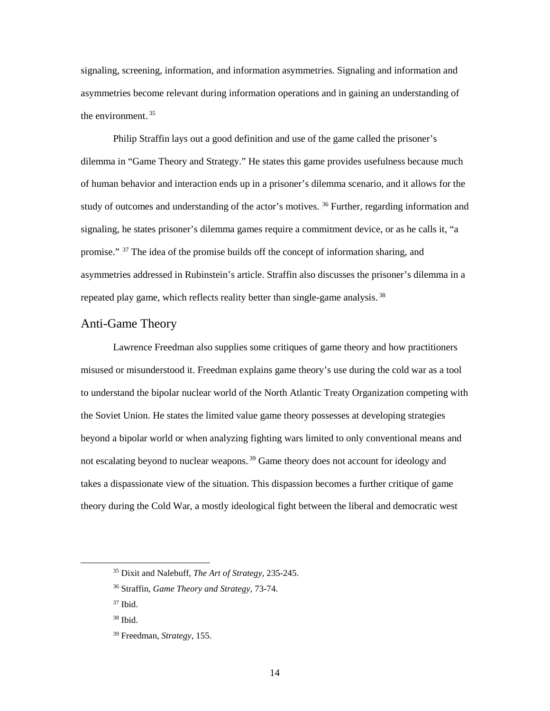signaling, screening, information, and information asymmetries. Signaling and information and asymmetries become relevant during information operations and in gaining an understanding of the environment.<sup>35</sup>

Philip Straffin lays out a good definition and use of the game called the prisoner's dilemma in "Game Theory and Strategy." He states this game provides usefulness because much of human behavior and interaction ends up in a prisoner's dilemma scenario, and it allows for the study of outcomes and understanding of the actor's motives.<sup>36</sup> Further, regarding information and signaling, he states prisoner's dilemma games require a commitment device, or as he calls it, "a promise." <sup>37</sup> The idea of the promise builds off the concept of information sharing, and asymmetries addressed in Rubinstein's article. Straffin also discusses the prisoner's dilemma in a repeated play game, which reflects reality better than single-game analysis.<sup>38</sup>

## <span id="page-20-0"></span>Anti-Game Theory

Lawrence Freedman also supplies some critiques of game theory and how practitioners misused or misunderstood it. Freedman explains game theory's use during the cold war as a tool to understand the bipolar nuclear world of the North Atlantic Treaty Organization competing with the Soviet Union. He states the limited value game theory possesses at developing strategies beyond a bipolar world or when analyzing fighting wars limited to only conventional means and not escalating beyond to nuclear weapons.<sup>39</sup> Game theory does not account for ideology and takes a dispassionate view of the situation. This dispassion becomes a further critique of game theory during the Cold War, a mostly ideological fight between the liberal and democratic west

 <sup>35</sup> Dixit and Nalebuff, *The Art of Strategy*, 235-245.

<sup>36</sup> Straffin, *Game Theory and Strategy*, 73-74.

 $37$  Ibid.

<sup>38</sup> Ibid.

<sup>39</sup> Freedman, *Strategy*, 155.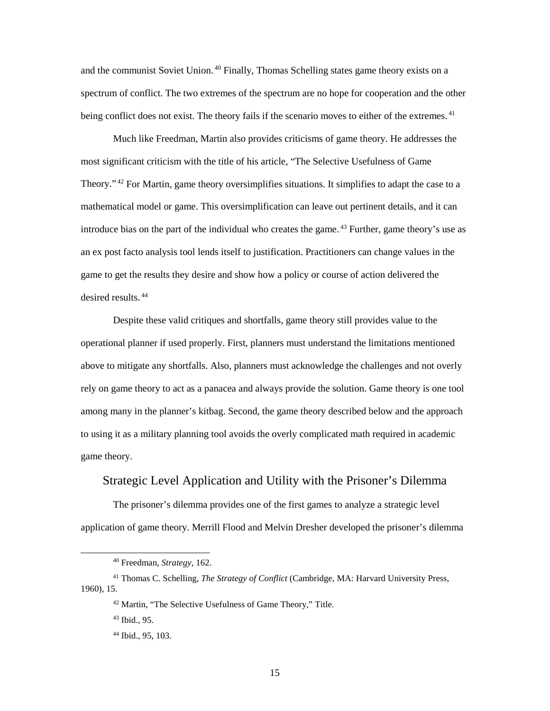and the communist Soviet Union.<sup>40</sup> Finally, Thomas Schelling states game theory exists on a spectrum of conflict. The two extremes of the spectrum are no hope for cooperation and the other being conflict does not exist. The theory fails if the scenario moves to either of the extremes.<sup>41</sup>

Much like Freedman, Martin also provides criticisms of game theory. He addresses the most significant criticism with the title of his article, "The Selective Usefulness of Game Theory.".<sup>42</sup> For Martin, game theory oversimplifies situations. It simplifies to adapt the case to a mathematical model or game. This oversimplification can leave out pertinent details, and it can introduce bias on the part of the individual who creates the game.<sup>43</sup> Further, game theory's use as an ex post facto analysis tool lends itself to justification. Practitioners can change values in the game to get the results they desire and show how a policy or course of action delivered the desired results.<sup>44</sup>

Despite these valid critiques and shortfalls, game theory still provides value to the operational planner if used properly. First, planners must understand the limitations mentioned above to mitigate any shortfalls. Also, planners must acknowledge the challenges and not overly rely on game theory to act as a panacea and always provide the solution. Game theory is one tool among many in the planner's kitbag. Second, the game theory described below and the approach to using it as a military planning tool avoids the overly complicated math required in academic game theory.

#### <span id="page-21-0"></span>Strategic Level Application and Utility with the Prisoner's Dilemma

The prisoner's dilemma provides one of the first games to analyze a strategic level application of game theory. Merrill Flood and Melvin Dresher developed the prisoner's dilemma

 <sup>40</sup> Freedman, *Strategy*, 162.

<sup>41</sup> Thomas C. Schelling, *The Strategy of Conflict* (Cambridge, MA: Harvard University Press, 1960), 15.

<sup>42</sup> Martin, "The Selective Usefulness of Game Theory," Title.

<sup>43</sup> Ibid., 95.

<sup>44</sup> Ibid., 95, 103.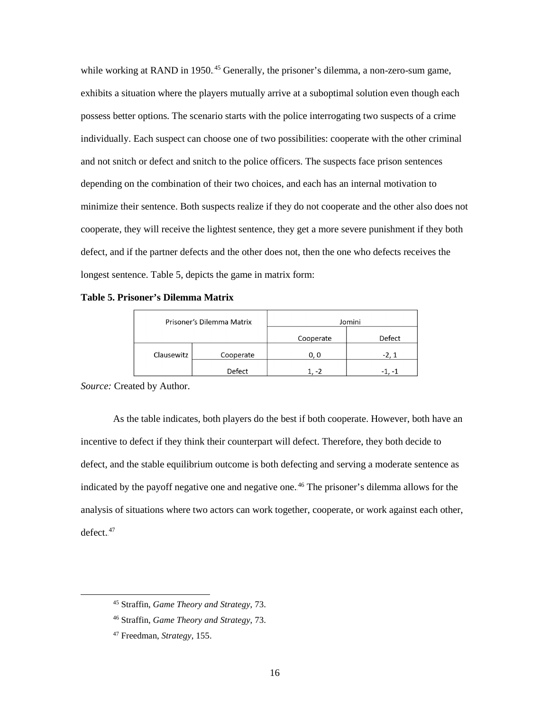while working at RAND in 1950.<sup>45</sup> Generally, the prisoner's dilemma, a non-zero-sum game, exhibits a situation where the players mutually arrive at a suboptimal solution even though each possess better options. The scenario starts with the police interrogating two suspects of a crime individually. Each suspect can choose one of two possibilities: cooperate with the other criminal and not snitch or defect and snitch to the police officers. The suspects face prison sentences depending on the combination of their two choices, and each has an internal motivation to minimize their sentence. Both suspects realize if they do not cooperate and the other also does not cooperate, they will receive the lightest sentence, they get a more severe punishment if they both defect, and if the partner defects and the other does not, then the one who defects receives the longest sentence. [Table 5,](#page-22-0) depicts the game in matrix form:

<span id="page-22-0"></span>**Table 5. Prisoner's Dilemma Matrix**

| Prisoner's Dilemma Matrix |           | Jomini                   |        |  |
|---------------------------|-----------|--------------------------|--------|--|
|                           |           | Cooperate                | Defect |  |
| Clausewitz                | Cooperate | 0. 0                     | $-2.1$ |  |
|                           | Defect    | $\overline{\phantom{a}}$ | - 1    |  |

*Source:* Created by Author.

As the table indicates, both players do the best if both cooperate. However, both have an incentive to defect if they think their counterpart will defect. Therefore, they both decide to defect, and the stable equilibrium outcome is both defecting and serving a moderate sentence as indicated by the payoff negative one and negative one.<sup>46</sup> The prisoner's dilemma allows for the analysis of situations where two actors can work together, cooperate, or work against each other,  $defect.$ <sup>47</sup>

 <sup>45</sup> Straffin, *Game Theory and Strategy*, 73.

<sup>46</sup> Straffin, *Game Theory and Strategy*, 73.

<sup>47</sup> Freedman, *Strategy*, 155.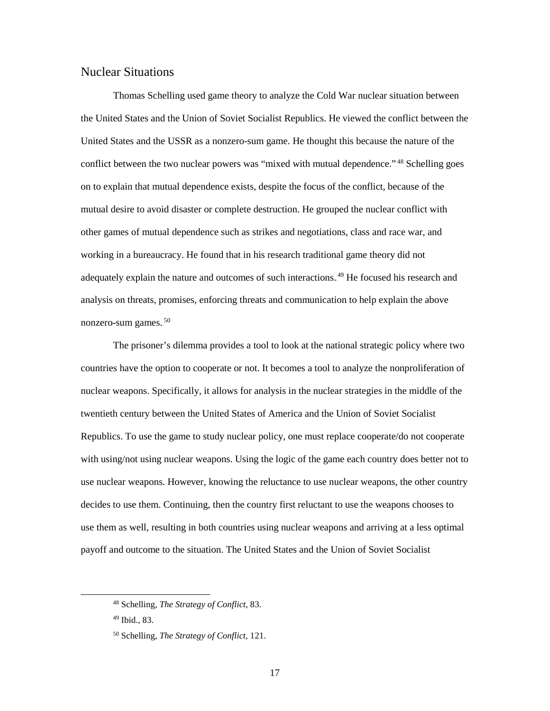### <span id="page-23-0"></span>Nuclear Situations

Thomas Schelling used game theory to analyze the Cold War nuclear situation between the United States and the Union of Soviet Socialist Republics. He viewed the conflict between the United States and the USSR as a nonzero-sum game. He thought this because the nature of the conflict between the two nuclear powers was "mixed with mutual dependence.".<sup>48</sup> Schelling goes on to explain that mutual dependence exists, despite the focus of the conflict, because of the mutual desire to avoid disaster or complete destruction. He grouped the nuclear conflict with other games of mutual dependence such as strikes and negotiations, class and race war, and working in a bureaucracy. He found that in his research traditional game theory did not adequately explain the nature and outcomes of such interactions.<sup>49</sup> He focused his research and analysis on threats, promises, enforcing threats and communication to help explain the above nonzero-sum games.<sup>50</sup>

The prisoner's dilemma provides a tool to look at the national strategic policy where two countries have the option to cooperate or not. It becomes a tool to analyze the nonproliferation of nuclear weapons. Specifically, it allows for analysis in the nuclear strategies in the middle of the twentieth century between the United States of America and the Union of Soviet Socialist Republics. To use the game to study nuclear policy, one must replace cooperate/do not cooperate with using/not using nuclear weapons. Using the logic of the game each country does better not to use nuclear weapons. However, knowing the reluctance to use nuclear weapons, the other country decides to use them. Continuing, then the country first reluctant to use the weapons chooses to use them as well, resulting in both countries using nuclear weapons and arriving at a less optimal payoff and outcome to the situation. The United States and the Union of Soviet Socialist

 <sup>48</sup> Schelling, *The Strategy of Conflict*, 83.

<sup>49</sup> Ibid.*,* 83.

<sup>50</sup> Schelling, *The Strategy of Conflict*, 121.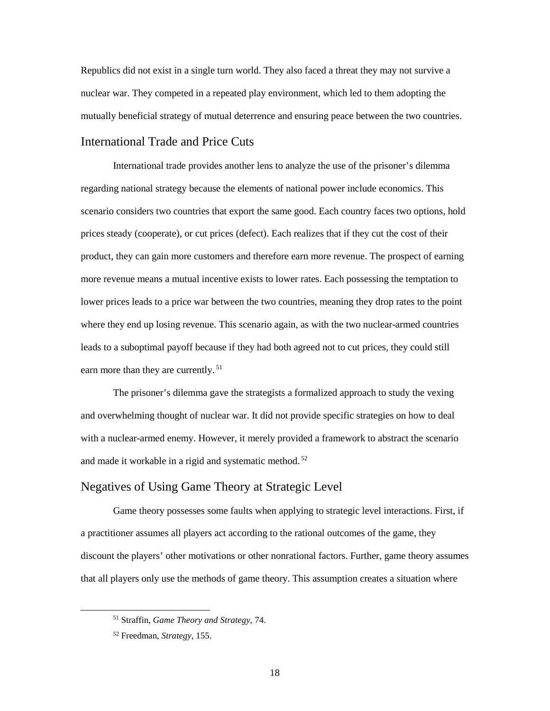Republics did not exist in a single turn world. They also faced a threat they may not survive a nuclear war. They competed in a repeated play environment, which led to them adopting the mutually beneficial strategy of mutual deterrence and ensuring peace between the two countries.

## <span id="page-24-0"></span>International Trade and Price Cuts

International trade provides another lens to analyze the use of the prisoner's dilemma regarding national strategy because the elements of national power include economics. This scenario considers two countries that export the same good. Each country faces two options, hold prices steady (cooperate), or cut prices (defect). Each realizes that if they cut the cost of their product, they can gain more customers and therefore earn more revenue. The prospect of earning more revenue means a mutual incentive exists to lower rates. Each possessing the temptation to lower prices leads to a price war between the two countries, meaning they drop rates to the point where they end up losing revenue. This scenario again, as with the two nuclear-armed countries leads to a suboptimal payoff because if they had both agreed not to cut prices, they could still earn more than they are currently.<sup>51</sup>

The prisoner's dilemma gave the strategists a formalized approach to study the vexing and overwhelming thought of nuclear war. It did not provide specific strategies on how to deal with a nuclear-armed enemy. However, it merely provided a framework to abstract the scenario and made it workable in a rigid and systematic method.<sup>52</sup>

## <span id="page-24-1"></span>Negatives of Using Game Theory at Strategic Level

Game theory possesses some faults when applying to strategic level interactions. First, if a practitioner assumes all players act according to the rational outcomes of the game, they discount the players' other motivations or other nonrational factors. Further, game theory assumes that all players only use the methods of game theory. This assumption creates a situation where

 <sup>51</sup> Straffin, *Game Theory and Strategy*, 74.

<sup>52</sup> Freedman, *Strategy*, 155.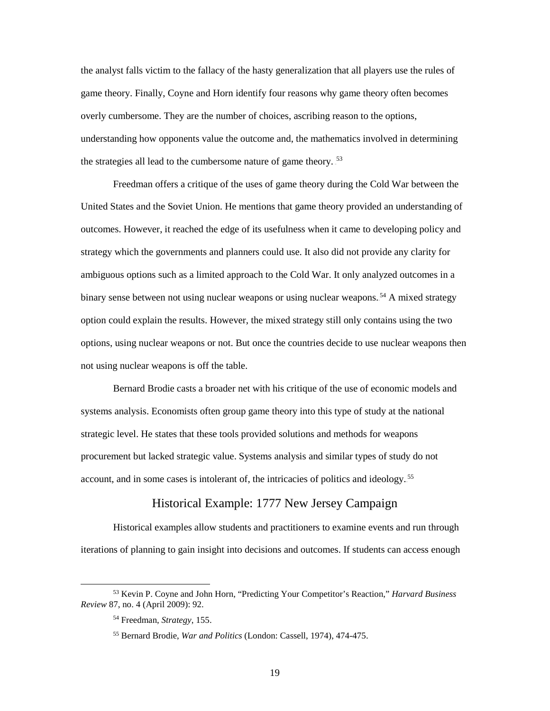the analyst falls victim to the fallacy of the hasty generalization that all players use the rules of game theory. Finally, Coyne and Horn identify four reasons why game theory often becomes overly cumbersome. They are the number of choices, ascribing reason to the options, understanding how opponents value the outcome and, the mathematics involved in determining the strategies all lead to the cumbersome nature of game theory.<sup>53</sup>

Freedman offers a critique of the uses of game theory during the Cold War between the United States and the Soviet Union. He mentions that game theory provided an understanding of outcomes. However, it reached the edge of its usefulness when it came to developing policy and strategy which the governments and planners could use. It also did not provide any clarity for ambiguous options such as a limited approach to the Cold War. It only analyzed outcomes in a binary sense between not using nuclear weapons or using nuclear weapons.<sup>54</sup> A mixed strategy option could explain the results. However, the mixed strategy still only contains using the two options, using nuclear weapons or not. But once the countries decide to use nuclear weapons then not using nuclear weapons is off the table.

Bernard Brodie casts a broader net with his critique of the use of economic models and systems analysis. Economists often group game theory into this type of study at the national strategic level. He states that these tools provided solutions and methods for weapons procurement but lacked strategic value. Systems analysis and similar types of study do not account, and in some cases is intolerant of, the intricacies of politics and ideology.<sup>55</sup>

## Historical Example: 1777 New Jersey Campaign

<span id="page-25-0"></span>Historical examples allow students and practitioners to examine events and run through iterations of planning to gain insight into decisions and outcomes. If students can access enough

 <sup>53</sup> Kevin P. Coyne and John Horn, "Predicting Your Competitor's Reaction," *Harvard Business Review* 87, no. 4 (April 2009): 92.

<sup>54</sup> Freedman, *Strategy*, 155.

<sup>55</sup> Bernard Brodie, *War and Politics* (London: Cassell, 1974), 474-475.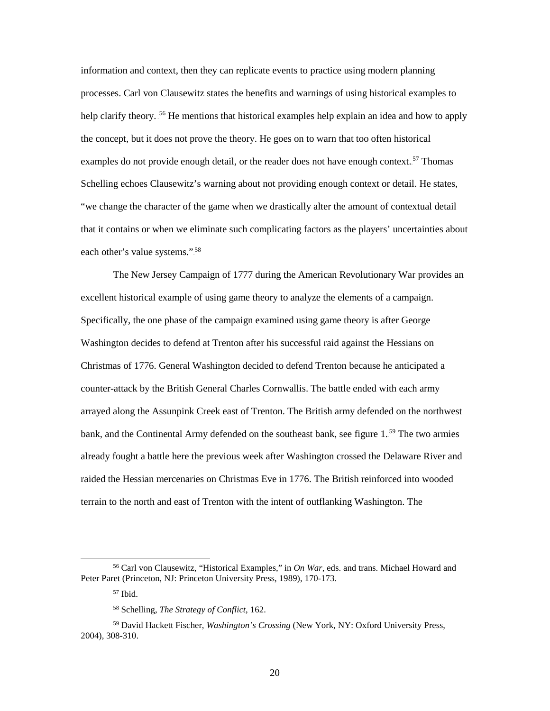information and context, then they can replicate events to practice using modern planning processes. Carl von Clausewitz states the benefits and warnings of using historical examples to help clarify theory. <sup>56</sup> He mentions that historical examples help explain an idea and how to apply the concept, but it does not prove the theory. He goes on to warn that too often historical examples do not provide enough detail, or the reader does not have enough context.<sup>57</sup> Thomas Schelling echoes Clausewitz's warning about not providing enough context or detail. He states, "we change the character of the game when we drastically alter the amount of contextual detail that it contains or when we eliminate such complicating factors as the players' uncertainties about each other's value systems.".<sup>58</sup>

The New Jersey Campaign of 1777 during the American Revolutionary War provides an excellent historical example of using game theory to analyze the elements of a campaign. Specifically, the one phase of the campaign examined using game theory is after George Washington decides to defend at Trenton after his successful raid against the Hessians on Christmas of 1776. General Washington decided to defend Trenton because he anticipated a counter-attack by the British General Charles Cornwallis. The battle ended with each army arrayed along the Assunpink Creek east of Trenton. The British army defended on the northwest bank, and the Continental Army defended on the southeast bank, see [figure 1.](#page-27-0)<sup>59</sup> The two armies already fought a battle here the previous week after Washington crossed the Delaware River and raided the Hessian mercenaries on Christmas Eve in 1776. The British reinforced into wooded terrain to the north and east of Trenton with the intent of outflanking Washington. The

 <sup>56</sup> Carl von Clausewitz, "Historical Examples," in *On War*, eds. and trans. Michael Howard and Peter Paret (Princeton, NJ: Princeton University Press, 1989), 170-173.

<sup>57</sup> Ibid.

<sup>58</sup> Schelling, *The Strategy of Conflict*, 162.

<sup>59</sup> David Hackett Fischer, *Washington's Crossing* (New York, NY: Oxford University Press, 2004), 308-310.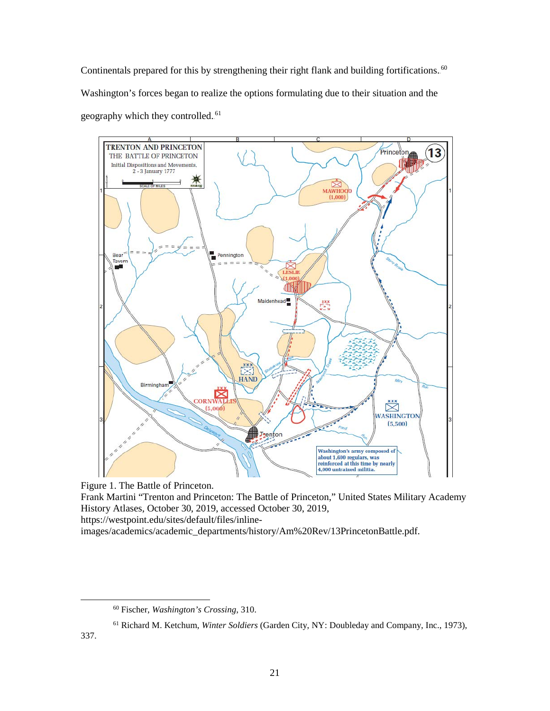Continentals prepared for this by strengthening their right flank and building fortifications.<sup>60</sup> Washington's forces began to realize the options formulating due to their situation and the geography which they controlled.<sup>61</sup>



<span id="page-27-0"></span>Figure 1. The Battle of Princeton.

Frank Martini "Trenton and Princeton: The Battle of Princeton," United States Military Academy History Atlases, October 30, 2019, accessed October 30, 2019,

https://westpoint.edu/sites/default/files/inline-

images/academics/academic\_departments/history/Am%20Rev/13PrincetonBattle.pdf.

337.

 <sup>60</sup> Fischer, *Washington's Crossing*, 310.

<sup>61</sup> Richard M. Ketchum, *Winter Soldiers* (Garden City, NY: Doubleday and Company, Inc., 1973),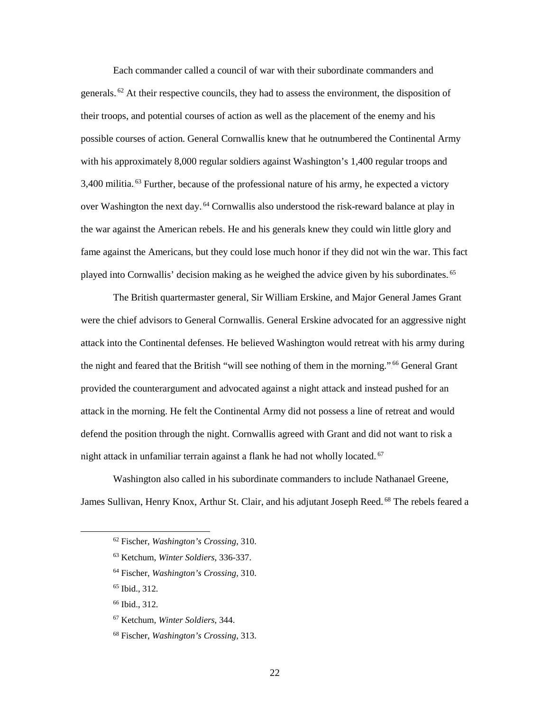Each commander called a council of war with their subordinate commanders and generals.<sup>62</sup> At their respective councils, they had to assess the environment, the disposition of their troops, and potential courses of action as well as the placement of the enemy and his possible courses of action. General Cornwallis knew that he outnumbered the Continental Army with his approximately 8,000 regular soldiers against Washington's 1,400 regular troops and 3,400 militia.<sup>63</sup> Further, because of the professional nature of his army, he expected a victory over Washington the next day.<sup>64</sup> Cornwallis also understood the risk-reward balance at play in the war against the American rebels. He and his generals knew they could win little glory and fame against the Americans, but they could lose much honor if they did not win the war. This fact played into Cornwallis' decision making as he weighed the advice given by his subordinates.<sup>65</sup>

The British quartermaster general, Sir William Erskine, and Major General James Grant were the chief advisors to General Cornwallis. General Erskine advocated for an aggressive night attack into the Continental defenses. He believed Washington would retreat with his army during the night and feared that the British "will see nothing of them in the morning."<sup>66</sup> General Grant provided the counterargument and advocated against a night attack and instead pushed for an attack in the morning. He felt the Continental Army did not possess a line of retreat and would defend the position through the night. Cornwallis agreed with Grant and did not want to risk a night attack in unfamiliar terrain against a flank he had not wholly located.<sup>67</sup>

Washington also called in his subordinate commanders to include Nathanael Greene, James Sullivan, Henry Knox, Arthur St. Clair, and his adjutant Joseph Reed.<sup>68</sup> The rebels feared a

 <sup>62</sup> Fischer, *Washington's Crossing*, 310.

<sup>63</sup> Ketchum, *Winter Soldiers*, 336-337.

<sup>64</sup> Fischer, *Washington's Crossing*, 310.

<sup>65</sup> Ibid., 312.

<sup>66</sup> Ibid., 312.

<sup>67</sup> Ketchum, *Winter Soldiers*, 344.

<sup>68</sup> Fischer, *Washington's Crossing*, 313.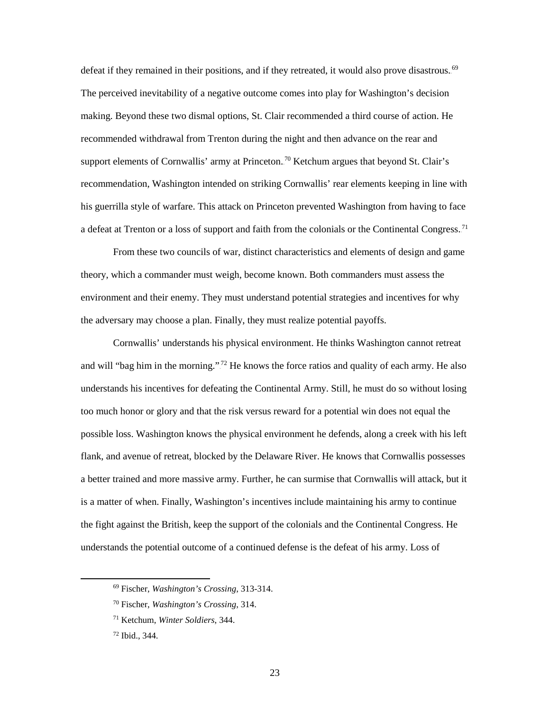defeat if they remained in their positions, and if they retreated, it would also prove disastrous.<sup>69</sup> The perceived inevitability of a negative outcome comes into play for Washington's decision making. Beyond these two dismal options, St. Clair recommended a third course of action. He recommended withdrawal from Trenton during the night and then advance on the rear and support elements of Cornwallis' army at Princeton.<sup>70</sup> Ketchum argues that beyond St. Clair's recommendation, Washington intended on striking Cornwallis' rear elements keeping in line with his guerrilla style of warfare. This attack on Princeton prevented Washington from having to face a defeat at Trenton or a loss of support and faith from the colonials or the Continental Congress.<sup>71</sup>

From these two councils of war, distinct characteristics and elements of design and game theory, which a commander must weigh, become known. Both commanders must assess the environment and their enemy. They must understand potential strategies and incentives for why the adversary may choose a plan. Finally, they must realize potential payoffs.

Cornwallis' understands his physical environment. He thinks Washington cannot retreat and will "bag him in the morning."<sup>72</sup> He knows the force ratios and quality of each army. He also understands his incentives for defeating the Continental Army. Still, he must do so without losing too much honor or glory and that the risk versus reward for a potential win does not equal the possible loss. Washington knows the physical environment he defends, along a creek with his left flank, and avenue of retreat, blocked by the Delaware River. He knows that Cornwallis possesses a better trained and more massive army. Further, he can surmise that Cornwallis will attack, but it is a matter of when. Finally, Washington's incentives include maintaining his army to continue the fight against the British, keep the support of the colonials and the Continental Congress. He understands the potential outcome of a continued defense is the defeat of his army. Loss of

 <sup>69</sup> Fischer, *Washington's Crossing*, 313-314.

<sup>70</sup> Fischer, *Washington's Crossing*, 314.

<sup>71</sup> Ketchum, *Winter Soldiers*, 344.

<sup>72</sup> Ibid., 344.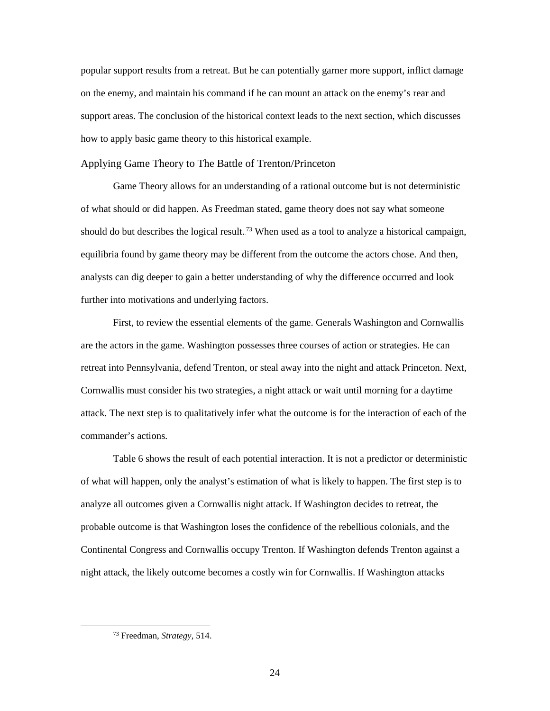popular support results from a retreat. But he can potentially garner more support, inflict damage on the enemy, and maintain his command if he can mount an attack on the enemy's rear and support areas. The conclusion of the historical context leads to the next section, which discusses how to apply basic game theory to this historical example.

<span id="page-30-0"></span>Applying Game Theory to The Battle of Trenton/Princeton

Game Theory allows for an understanding of a rational outcome but is not deterministic of what should or did happen. As Freedman stated, game theory does not say what someone should do but describes the logical result.<sup>73</sup> When used as a tool to analyze a historical campaign, equilibria found by game theory may be different from the outcome the actors chose. And then, analysts can dig deeper to gain a better understanding of why the difference occurred and look further into motivations and underlying factors.

First, to review the essential elements of the game. Generals Washington and Cornwallis are the actors in the game. Washington possesses three courses of action or strategies. He can retreat into Pennsylvania, defend Trenton, or steal away into the night and attack Princeton. Next, Cornwallis must consider his two strategies, a night attack or wait until morning for a daytime attack. The next step is to qualitatively infer what the outcome is for the interaction of each of the commander's actions.

[Table 6](#page-31-0) shows the result of each potential interaction. It is not a predictor or deterministic of what will happen, only the analyst's estimation of what is likely to happen. The first step is to analyze all outcomes given a Cornwallis night attack. If Washington decides to retreat, the probable outcome is that Washington loses the confidence of the rebellious colonials, and the Continental Congress and Cornwallis occupy Trenton. If Washington defends Trenton against a night attack, the likely outcome becomes a costly win for Cornwallis. If Washington attacks

 <sup>73</sup> Freedman, *Strategy*, 514.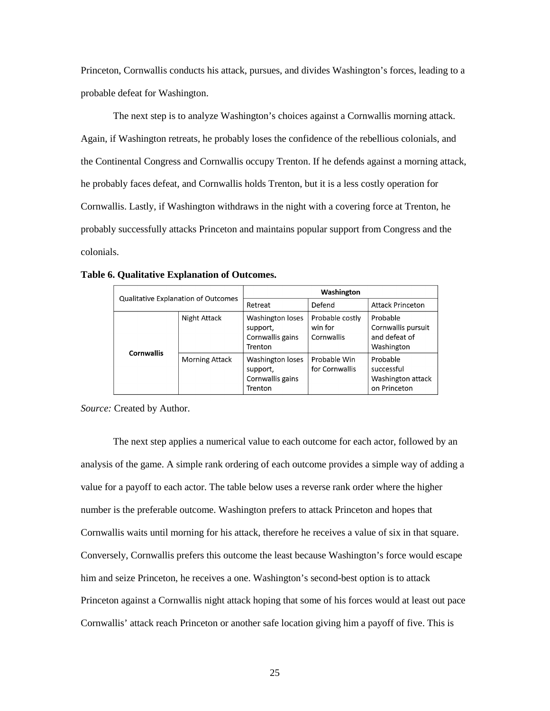Princeton, Cornwallis conducts his attack, pursues, and divides Washington's forces, leading to a probable defeat for Washington.

The next step is to analyze Washington's choices against a Cornwallis morning attack. Again, if Washington retreats, he probably loses the confidence of the rebellious colonials, and the Continental Congress and Cornwallis occupy Trenton. If he defends against a morning attack, he probably faces defeat, and Cornwallis holds Trenton, but it is a less costly operation for Cornwallis. Lastly, if Washington withdraws in the night with a covering force at Trenton, he probably successfully attacks Princeton and maintains popular support from Congress and the colonials.

| Qualitative Explanation of Outcomes |                       | Washington                                                  |                                          |                                                               |
|-------------------------------------|-----------------------|-------------------------------------------------------------|------------------------------------------|---------------------------------------------------------------|
|                                     |                       | Retreat                                                     | Defend                                   | <b>Attack Princeton</b>                                       |
| <b>Cornwallis</b>                   | Night Attack          | Washington loses<br>support,<br>Cornwallis gains<br>Trenton | Probable costly<br>win for<br>Cornwallis | Probable<br>Cornwallis pursuit<br>and defeat of<br>Washington |
|                                     | <b>Morning Attack</b> | Washington loses<br>support,<br>Cornwallis gains<br>Trenton | Probable Win<br>for Cornwallis           | Probable<br>successful<br>Washington attack<br>on Princeton   |

<span id="page-31-0"></span>**Table 6. Qualitative Explanation of Outcomes.** 

*Source:* Created by Author.

The next step applies a numerical value to each outcome for each actor, followed by an analysis of the game. A simple rank ordering of each outcome provides a simple way of adding a value for a payoff to each actor. The table below uses a reverse rank order where the higher number is the preferable outcome. Washington prefers to attack Princeton and hopes that Cornwallis waits until morning for his attack, therefore he receives a value of six in that square. Conversely, Cornwallis prefers this outcome the least because Washington's force would escape him and seize Princeton, he receives a one. Washington's second-best option is to attack Princeton against a Cornwallis night attack hoping that some of his forces would at least out pace Cornwallis' attack reach Princeton or another safe location giving him a payoff of five. This is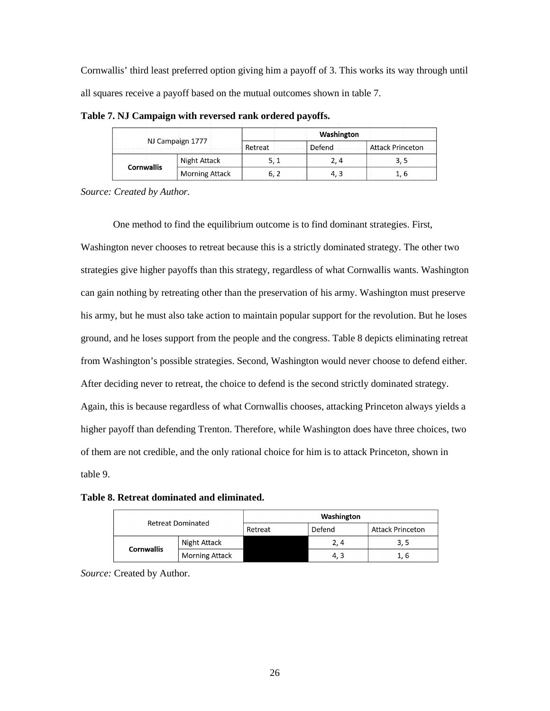Cornwallis' third least preferred option giving him a payoff of 3. This works its way through until all squares receive a payoff based on the mutual outcomes shown in [table 7.](#page-32-0)

| NJ Campaign 1777  |                       | Washington |        |                         |
|-------------------|-----------------------|------------|--------|-------------------------|
|                   |                       | Retreat    | Defend | <b>Attack Princeton</b> |
|                   | Night Attack          |            | 2,4    | 3,5                     |
| <b>Cornwallis</b> | <b>Morning Attack</b> |            |        | 1, b                    |

<span id="page-32-0"></span>**Table 7. NJ Campaign with reversed rank ordered payoffs.** 

*Source: Created by Author.* 

One method to find the equilibrium outcome is to find dominant strategies. First, Washington never chooses to retreat because this is a strictly dominated strategy. The other two strategies give higher payoffs than this strategy, regardless of what Cornwallis wants. Washington can gain nothing by retreating other than the preservation of his army. Washington must preserve his army, but he must also take action to maintain popular support for the revolution. But he loses ground, and he loses support from the people and the congress. [Table 8](#page-32-1) depicts eliminating retreat from Washington's possible strategies. Second, Washington would never choose to defend either. After deciding never to retreat, the choice to defend is the second strictly dominated strategy. Again, this is because regardless of what Cornwallis chooses, attacking Princeton always yields a higher payoff than defending Trenton. Therefore, while Washington does have three choices, two of them are not credible, and the only rational choice for him is to attack Princeton, shown in [table 9.](#page-33-0)

<span id="page-32-1"></span>**Table 8. Retreat dominated and eliminated.**

|  |                          | Washington            |         |        |                         |
|--|--------------------------|-----------------------|---------|--------|-------------------------|
|  | <b>Retreat Dominated</b> |                       | Retreat | Defend | <b>Attack Princeton</b> |
|  | <b>Cornwallis</b>        | Night Attack          |         | 2, 4   | 3, 5                    |
|  |                          | <b>Morning Attack</b> |         | 4.3    | 1, 6                    |

*Source:* Created by Author.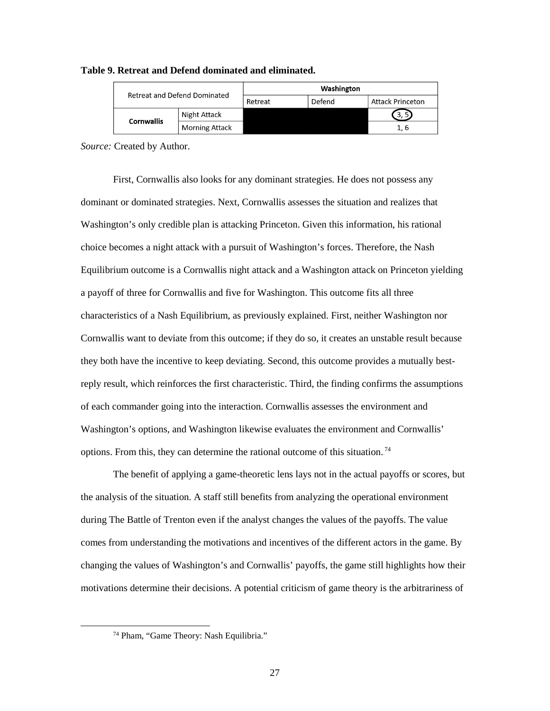| Retreat and Defend Dominated |                                   | Washington |        |                         |
|------------------------------|-----------------------------------|------------|--------|-------------------------|
|                              |                                   | Retreat    | Defend | <b>Attack Princeton</b> |
|                              | Night Attack<br><b>Cornwallis</b> |            |        | 3.5                     |
|                              | <b>Morning Attack</b>             |            |        | 1.6                     |

#### <span id="page-33-0"></span>**Table 9. Retreat and Defend dominated and eliminated.**

*Source:* Created by Author.

First, Cornwallis also looks for any dominant strategies. He does not possess any dominant or dominated strategies. Next, Cornwallis assesses the situation and realizes that Washington's only credible plan is attacking Princeton. Given this information, his rational choice becomes a night attack with a pursuit of Washington's forces. Therefore, the Nash Equilibrium outcome is a Cornwallis night attack and a Washington attack on Princeton yielding a payoff of three for Cornwallis and five for Washington. This outcome fits all three characteristics of a Nash Equilibrium, as previously explained. First, neither Washington nor Cornwallis want to deviate from this outcome; if they do so, it creates an unstable result because they both have the incentive to keep deviating. Second, this outcome provides a mutually bestreply result, which reinforces the first characteristic. Third, the finding confirms the assumptions of each commander going into the interaction. Cornwallis assesses the environment and Washington's options, and Washington likewise evaluates the environment and Cornwallis' options. From this, they can determine the rational outcome of this situation.<sup>74</sup>

The benefit of applying a game-theoretic lens lays not in the actual payoffs or scores, but the analysis of the situation. A staff still benefits from analyzing the operational environment during The Battle of Trenton even if the analyst changes the values of the payoffs. The value comes from understanding the motivations and incentives of the different actors in the game. By changing the values of Washington's and Cornwallis' payoffs, the game still highlights how their motivations determine their decisions. A potential criticism of game theory is the arbitrariness of

 <sup>74</sup> Pham, "Game Theory: Nash Equilibria."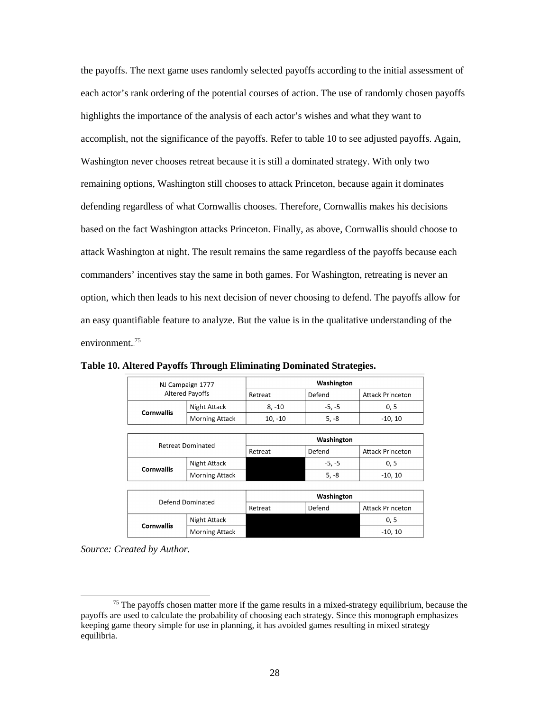the payoffs. The next game uses randomly selected payoffs according to the initial assessment of each actor's rank ordering of the potential courses of action. The use of randomly chosen payoffs highlights the importance of the analysis of each actor's wishes and what they want to accomplish, not the significance of the payoffs. Refer to [table 10](#page-34-0) to see adjusted payoffs. Again, Washington never chooses retreat because it is still a dominated strategy. With only two remaining options, Washington still chooses to attack Princeton, because again it dominates defending regardless of what Cornwallis chooses. Therefore, Cornwallis makes his decisions based on the fact Washington attacks Princeton. Finally, as above, Cornwallis should choose to attack Washington at night. The result remains the same regardless of the payoffs because each commanders' incentives stay the same in both games. For Washington, retreating is never an option, which then leads to his next decision of never choosing to defend. The payoffs allow for an easy quantifiable feature to analyze. But the value is in the qualitative understanding of the environment.<sup>75</sup>

| NJ Campaign 1777<br><b>Altered Payoffs</b> |                       | Washington |          |                         |
|--------------------------------------------|-----------------------|------------|----------|-------------------------|
|                                            |                       | Retreat    | Defend   | <b>Attack Princeton</b> |
| <b>Cornwallis</b>                          | Night Attack          | 8, -10     | $-5, -5$ | 0, 5                    |
|                                            | <b>Morning Attack</b> | $10, -10$  | $5. -8$  | $-10.10$                |
|                                            |                       |            |          |                         |

<span id="page-34-0"></span>**Table 10. Altered Payoffs Through Eliminating Dominated Strategies.**

| <b>Retreat Dominated</b> |                       | Washington |          |                         |  |  |
|--------------------------|-----------------------|------------|----------|-------------------------|--|--|
|                          |                       | Retreat    | Defend   | <b>Attack Princeton</b> |  |  |
| <b>Cornwallis</b>        | Night Attack          |            | $-5, -5$ | 0, 5                    |  |  |
|                          | <b>Morning Attack</b> |            | $5, -8$  | $-10, 10$               |  |  |
|                          |                       |            |          |                         |  |  |
| Defend Dominated         |                       | Washington |          |                         |  |  |
|                          |                       | Retreat    | Defend   | <b>Attack Princeton</b> |  |  |
| Cornwallis               | Night Attack          |            |          | 0, 5                    |  |  |
|                          | <b>Morning Attack</b> |            |          | $-10, 10$               |  |  |

*Source: Created by Author.* 

 $<sup>75</sup>$  The payoffs chosen matter more if the game results in a mixed-strategy equilibrium, because the</sup> payoffs are used to calculate the probability of choosing each strategy. Since this monograph emphasizes keeping game theory simple for use in planning, it has avoided games resulting in mixed strategy equilibria.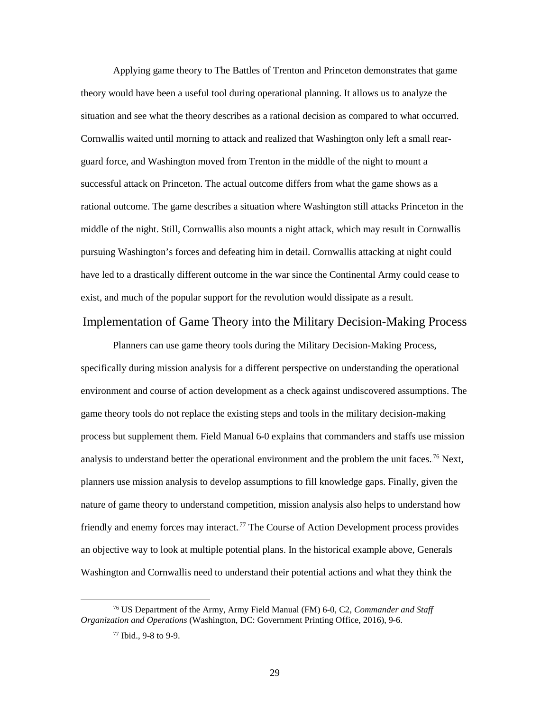Applying game theory to The Battles of Trenton and Princeton demonstrates that game theory would have been a useful tool during operational planning. It allows us to analyze the situation and see what the theory describes as a rational decision as compared to what occurred. Cornwallis waited until morning to attack and realized that Washington only left a small rearguard force, and Washington moved from Trenton in the middle of the night to mount a successful attack on Princeton. The actual outcome differs from what the game shows as a rational outcome. The game describes a situation where Washington still attacks Princeton in the middle of the night. Still, Cornwallis also mounts a night attack, which may result in Cornwallis pursuing Washington's forces and defeating him in detail. Cornwallis attacking at night could have led to a drastically different outcome in the war since the Continental Army could cease to exist, and much of the popular support for the revolution would dissipate as a result.

#### <span id="page-35-0"></span>Implementation of Game Theory into the Military Decision-Making Process

Planners can use game theory tools during the Military Decision-Making Process, specifically during mission analysis for a different perspective on understanding the operational environment and course of action development as a check against undiscovered assumptions. The game theory tools do not replace the existing steps and tools in the military decision-making process but supplement them. Field Manual 6-0 explains that commanders and staffs use mission analysis to understand better the operational environment and the problem the unit faces.<sup>76</sup> Next, planners use mission analysis to develop assumptions to fill knowledge gaps. Finally, given the nature of game theory to understand competition, mission analysis also helps to understand how friendly and enemy forces may interact.<sup>77</sup> The Course of Action Development process provides an objective way to look at multiple potential plans. In the historical example above, Generals Washington and Cornwallis need to understand their potential actions and what they think the

 <sup>76</sup> US Department of the Army, Army Field Manual (FM) 6-0, C2, *Commander and Staff Organization and Operations* (Washington, DC: Government Printing Office, 2016), 9-6.

<sup>77</sup> Ibid., 9-8 to 9-9.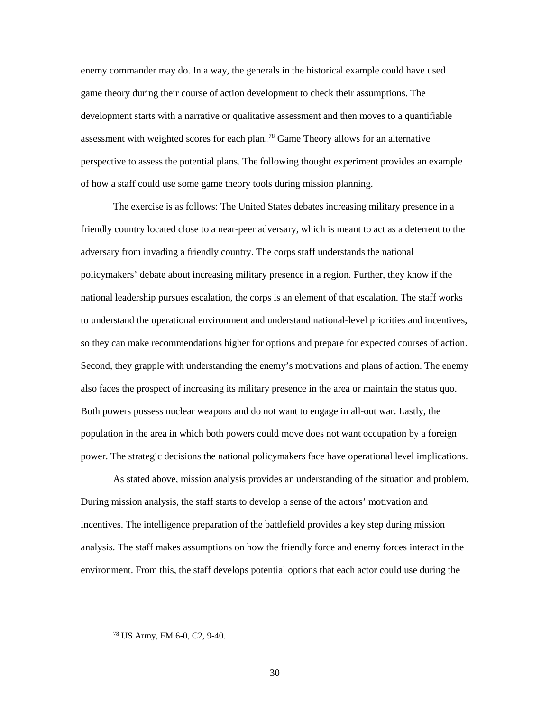enemy commander may do. In a way, the generals in the historical example could have used game theory during their course of action development to check their assumptions. The development starts with a narrative or qualitative assessment and then moves to a quantifiable assessment with weighted scores for each plan.<sup>78</sup> Game Theory allows for an alternative perspective to assess the potential plans. The following thought experiment provides an example of how a staff could use some game theory tools during mission planning.

The exercise is as follows: The United States debates increasing military presence in a friendly country located close to a near-peer adversary, which is meant to act as a deterrent to the adversary from invading a friendly country. The corps staff understands the national policymakers' debate about increasing military presence in a region. Further, they know if the national leadership pursues escalation, the corps is an element of that escalation. The staff works to understand the operational environment and understand national-level priorities and incentives, so they can make recommendations higher for options and prepare for expected courses of action. Second, they grapple with understanding the enemy's motivations and plans of action. The enemy also faces the prospect of increasing its military presence in the area or maintain the status quo. Both powers possess nuclear weapons and do not want to engage in all-out war. Lastly, the population in the area in which both powers could move does not want occupation by a foreign power. The strategic decisions the national policymakers face have operational level implications.

As stated above, mission analysis provides an understanding of the situation and problem. During mission analysis, the staff starts to develop a sense of the actors' motivation and incentives. The intelligence preparation of the battlefield provides a key step during mission analysis. The staff makes assumptions on how the friendly force and enemy forces interact in the environment. From this, the staff develops potential options that each actor could use during the

 <sup>78</sup> US Army, FM 6-0, C2, 9-40.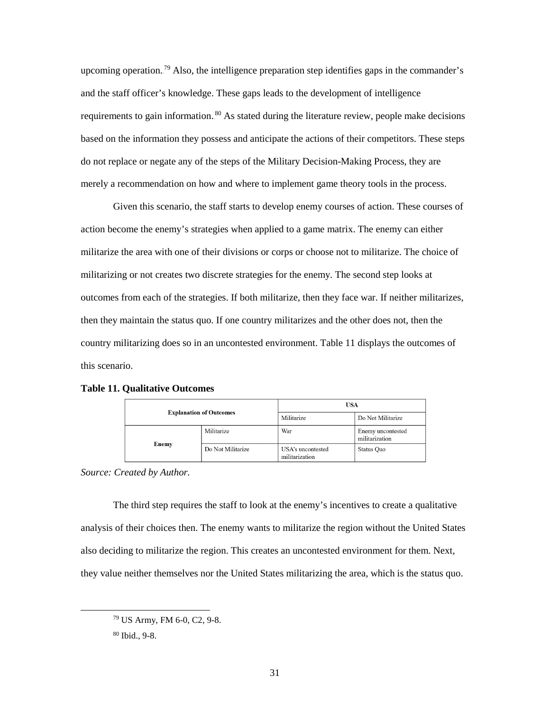upcoming operation.<sup>79</sup> Also, the intelligence preparation step identifies gaps in the commander's and the staff officer's knowledge. These gaps leads to the development of intelligence requirements to gain information.<sup>80</sup> As stated during the literature review, people make decisions based on the information they possess and anticipate the actions of their competitors. These steps do not replace or negate any of the steps of the Military Decision-Making Process, they are merely a recommendation on how and where to implement game theory tools in the process.

Given this scenario, the staff starts to develop enemy courses of action. These courses of action become the enemy's strategies when applied to a game matrix. The enemy can either militarize the area with one of their divisions or corps or choose not to militarize. The choice of militarizing or not creates two discrete strategies for the enemy. The second step looks at outcomes from each of the strategies. If both militarize, then they face war. If neither militarizes, then they maintain the status quo. If one country militarizes and the other does not, then the country militarizing does so in an uncontested environment. [Table 11](#page-37-0) displays the outcomes of this scenario.

| <b>Explanation of Outcomes</b> |                   | <b>USA</b>                          |                                     |  |
|--------------------------------|-------------------|-------------------------------------|-------------------------------------|--|
|                                |                   | Militarize                          | Do Not Militarize                   |  |
|                                | Militarize        | War                                 | Enemy uncontested<br>militarization |  |
| Enemy                          | Do Not Militarize | USA's uncontested<br>militarization | Status Quo                          |  |

#### <span id="page-37-0"></span>**Table 11. Qualitative Outcomes**

*Source: Created by Author.* 

The third step requires the staff to look at the enemy's incentives to create a qualitative analysis of their choices then. The enemy wants to militarize the region without the United States also deciding to militarize the region. This creates an uncontested environment for them. Next, they value neither themselves nor the United States militarizing the area, which is the status quo.

 <sup>79</sup> US Army, FM 6-0, C2, 9-8.

<sup>80</sup> Ibid., 9-8.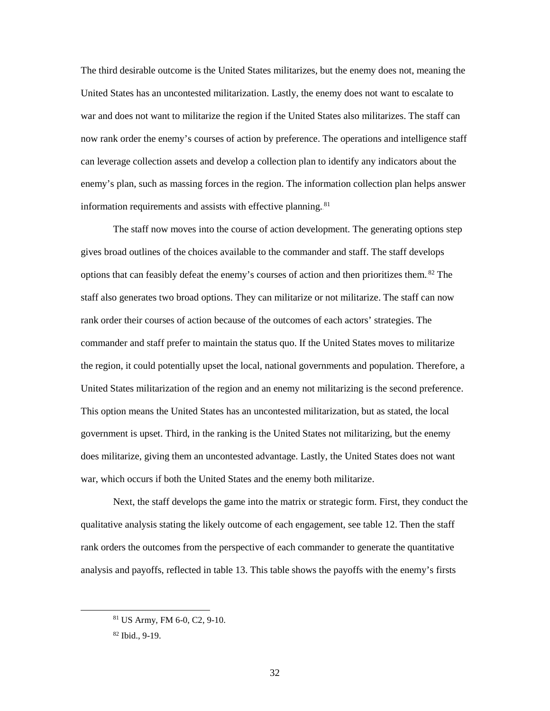The third desirable outcome is the United States militarizes, but the enemy does not, meaning the United States has an uncontested militarization. Lastly, the enemy does not want to escalate to war and does not want to militarize the region if the United States also militarizes. The staff can now rank order the enemy's courses of action by preference. The operations and intelligence staff can leverage collection assets and develop a collection plan to identify any indicators about the enemy's plan, such as massing forces in the region. The information collection plan helps answer information requirements and assists with effective planning.<sup>81</sup>

The staff now moves into the course of action development. The generating options step gives broad outlines of the choices available to the commander and staff. The staff develops options that can feasibly defeat the enemy's courses of action and then prioritizes them.<sup>82</sup> The staff also generates two broad options. They can militarize or not militarize. The staff can now rank order their courses of action because of the outcomes of each actors' strategies. The commander and staff prefer to maintain the status quo. If the United States moves to militarize the region, it could potentially upset the local, national governments and population. Therefore, a United States militarization of the region and an enemy not militarizing is the second preference. This option means the United States has an uncontested militarization, but as stated, the local government is upset. Third, in the ranking is the United States not militarizing, but the enemy does militarize, giving them an uncontested advantage. Lastly, the United States does not want war, which occurs if both the United States and the enemy both militarize.

Next, the staff develops the game into the matrix or strategic form. First, they conduct the qualitative analysis stating the likely outcome of each engagement, see [table 12.](#page-39-0) Then the staff rank orders the outcomes from the perspective of each commander to generate the quantitative analysis and payoffs, reflected in [table 13.](#page-39-1) This table shows the payoffs with the enemy's firsts

 <sup>81</sup> US Army, FM 6-0, C2, 9-10.

<sup>82</sup> Ibid., 9-19.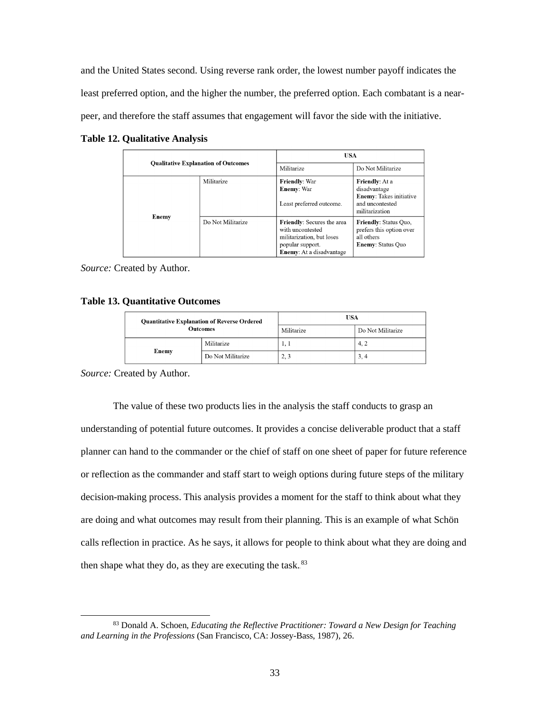and the United States second. Using reverse rank order, the lowest number payoff indicates the least preferred option, and the higher the number, the preferred option. Each combatant is a nearpeer, and therefore the staff assumes that engagement will favor the side with the initiative.

| <b>Qualitative Explanation of Outcomes</b> |                   |                                                                                                                                           | USA                                                                                                          |  |
|--------------------------------------------|-------------------|-------------------------------------------------------------------------------------------------------------------------------------------|--------------------------------------------------------------------------------------------------------------|--|
|                                            |                   | Militarize                                                                                                                                | Do Not Militarize                                                                                            |  |
|                                            | Militarize        | <b>Friendly: War</b><br><b>Enemy:</b> War<br>Least preferred outcome.                                                                     | <b>Friendly:</b> At a<br>disadvantage<br><b>Enemy:</b> Takes initiative<br>and uncontested<br>militarization |  |
| Enemy                                      | Do Not Militarize | <b>Friendly:</b> Secures the area<br>with uncontested<br>militarization, but loses<br>popular support.<br><b>Enemy:</b> At a disadvantage | Friendly: Status Quo,<br>prefers this option over<br>all others<br><b>Enemy: Status Quo</b>                  |  |

<span id="page-39-0"></span>**Table 12. Qualitative Analysis**

*Source:* Created by Author.

#### <span id="page-39-1"></span>**Table 13. Quantitative Outcomes**

| <b>Quantitative Explanation of Reverse Ordered</b><br><b>Outcomes</b> |                            | USA           |                   |
|-----------------------------------------------------------------------|----------------------------|---------------|-------------------|
|                                                                       |                            | Militarize    | Do Not Militarize |
|                                                                       | Militarize                 | $\pm$ , $\pm$ | 4.2               |
|                                                                       | Enemy<br>Do Not Militarize | 2, 3          | 3, 4              |

*Source:* Created by Author.

The value of these two products lies in the analysis the staff conducts to grasp an understanding of potential future outcomes. It provides a concise deliverable product that a staff planner can hand to the commander or the chief of staff on one sheet of paper for future reference or reflection as the commander and staff start to weigh options during future steps of the military decision-making process. This analysis provides a moment for the staff to think about what they are doing and what outcomes may result from their planning. This is an example of what Schön calls reflection in practice. As he says, it allows for people to think about what they are doing and then shape what they do, as they are executing the task.<sup>83</sup>

 <sup>83</sup> Donald A. Schoen, *Educating the Reflective Practitioner: Toward a New Design for Teaching and Learning in the Professions* (San Francisco, CA: Jossey-Bass, 1987), 26.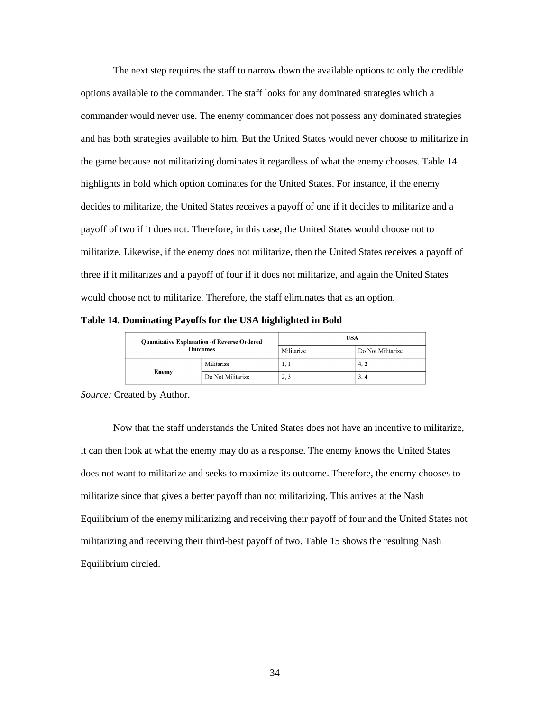The next step requires the staff to narrow down the available options to only the credible options available to the commander. The staff looks for any dominated strategies which a commander would never use. The enemy commander does not possess any dominated strategies and has both strategies available to him. But the United States would never choose to militarize in the game because not militarizing dominates it regardless of what the enemy chooses. [Table 14](#page-40-0) highlights in bold which option dominates for the United States. For instance, if the enemy decides to militarize, the United States receives a payoff of one if it decides to militarize and a payoff of two if it does not. Therefore, in this case, the United States would choose not to militarize. Likewise, if the enemy does not militarize, then the United States receives a payoff of three if it militarizes and a payoff of four if it does not militarize, and again the United States would choose not to militarize. Therefore, the staff eliminates that as an option.

<span id="page-40-0"></span>**Table 14. Dominating Payoffs for the USA highlighted in Bold**

| <b>Quantitative Explanation of Reverse Ordered</b><br><b>Outcomes</b> |                            | USA        |                   |
|-----------------------------------------------------------------------|----------------------------|------------|-------------------|
|                                                                       |                            | Militarize | Do Not Militarize |
|                                                                       | Militarize                 | 1, 1       | 4, 2              |
|                                                                       | Enemy<br>Do Not Militarize | 2, 3       | 3, 4              |

*Source:* Created by Author.

Now that the staff understands the United States does not have an incentive to militarize, it can then look at what the enemy may do as a response. The enemy knows the United States does not want to militarize and seeks to maximize its outcome. Therefore, the enemy chooses to militarize since that gives a better payoff than not militarizing. This arrives at the Nash Equilibrium of the enemy militarizing and receiving their payoff of four and the United States not militarizing and receiving their third-best payoff of two. [Table 15](#page-41-0) shows the resulting Nash Equilibrium circled.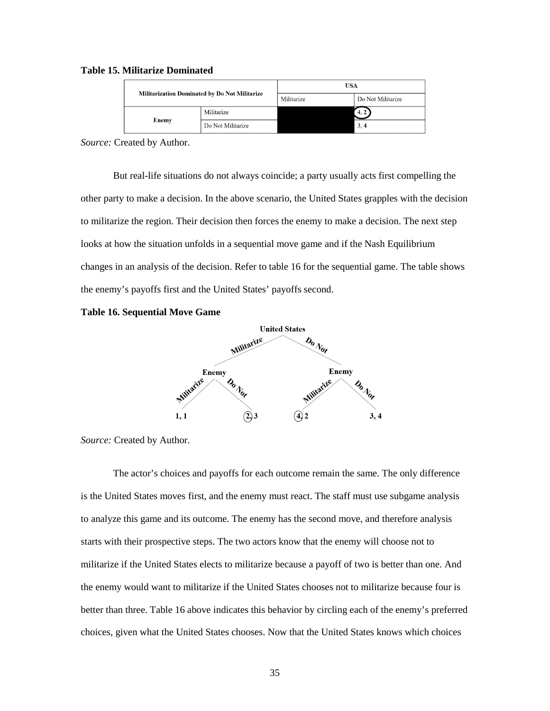| <b>Militarization Dominated by Do Not Militarize</b> |                   | USA        |                   |
|------------------------------------------------------|-------------------|------------|-------------------|
|                                                      |                   | Militarize | Do Not Militarize |
|                                                      | Militarize        |            | 4, 2              |
| Enemy                                                | Do Not Militarize |            | 3, 4              |

#### <span id="page-41-0"></span>**Table 15. Militarize Dominated**

*Source:* Created by Author.

But real-life situations do not always coincide; a party usually acts first compelling the other party to make a decision. In the above scenario, the United States grapples with the decision to militarize the region. Their decision then forces the enemy to make a decision. The next step looks at how the situation unfolds in a sequential move game and if the Nash Equilibrium changes in an analysis of the decision. Refer t[o table 16](#page-41-1) for the sequential game. The table shows the enemy's payoffs first and the United States' payoffs second.

#### <span id="page-41-1"></span>**Table 16. Sequential Move Game**



*Source:* Created by Author.

The actor's choices and payoffs for each outcome remain the same. The only difference is the United States moves first, and the enemy must react. The staff must use subgame analysis to analyze this game and its outcome. The enemy has the second move, and therefore analysis starts with their prospective steps. The two actors know that the enemy will choose not to militarize if the United States elects to militarize because a payoff of two is better than one. And the enemy would want to militarize if the United States chooses not to militarize because four is better than three. [Table 16](#page-41-1) above indicates this behavior by circling each of the enemy's preferred choices, given what the United States chooses. Now that the United States knows which choices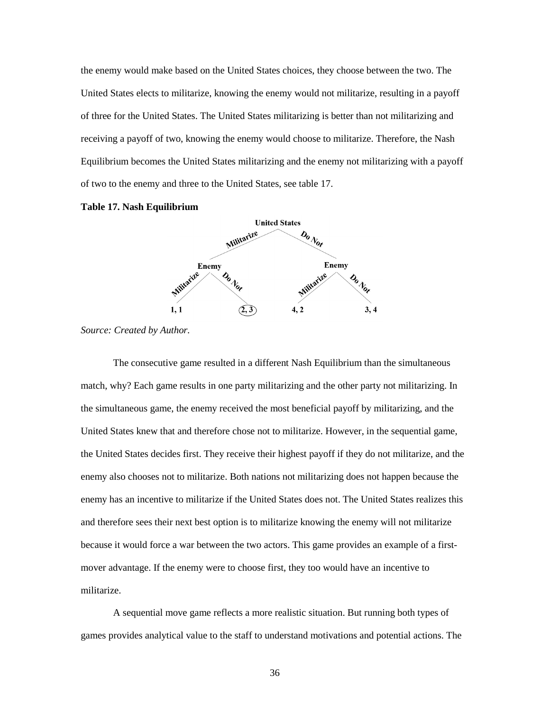the enemy would make based on the United States choices, they choose between the two. The United States elects to militarize, knowing the enemy would not militarize, resulting in a payoff of three for the United States. The United States militarizing is better than not militarizing and receiving a payoff of two, knowing the enemy would choose to militarize. Therefore, the Nash Equilibrium becomes the United States militarizing and the enemy not militarizing with a payoff of two to the enemy and three to the United States, see [table 17.](#page-42-0)

<span id="page-42-0"></span>



*Source: Created by Author.* 

The consecutive game resulted in a different Nash Equilibrium than the simultaneous match, why? Each game results in one party militarizing and the other party not militarizing. In the simultaneous game, the enemy received the most beneficial payoff by militarizing, and the United States knew that and therefore chose not to militarize. However, in the sequential game, the United States decides first. They receive their highest payoff if they do not militarize, and the enemy also chooses not to militarize. Both nations not militarizing does not happen because the enemy has an incentive to militarize if the United States does not. The United States realizes this and therefore sees their next best option is to militarize knowing the enemy will not militarize because it would force a war between the two actors. This game provides an example of a firstmover advantage. If the enemy were to choose first, they too would have an incentive to militarize.

A sequential move game reflects a more realistic situation. But running both types of games provides analytical value to the staff to understand motivations and potential actions. The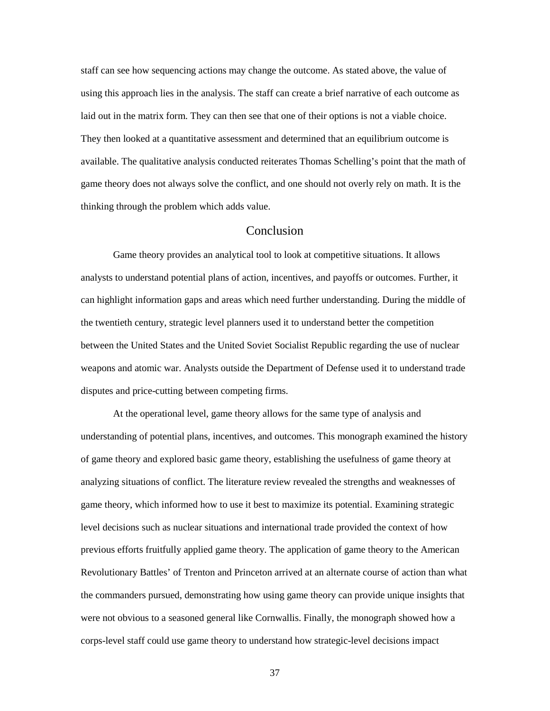staff can see how sequencing actions may change the outcome. As stated above, the value of using this approach lies in the analysis. The staff can create a brief narrative of each outcome as laid out in the matrix form. They can then see that one of their options is not a viable choice. They then looked at a quantitative assessment and determined that an equilibrium outcome is available. The qualitative analysis conducted reiterates Thomas Schelling's point that the math of game theory does not always solve the conflict, and one should not overly rely on math. It is the thinking through the problem which adds value.

### Conclusion

<span id="page-43-0"></span>Game theory provides an analytical tool to look at competitive situations. It allows analysts to understand potential plans of action, incentives, and payoffs or outcomes. Further, it can highlight information gaps and areas which need further understanding. During the middle of the twentieth century, strategic level planners used it to understand better the competition between the United States and the United Soviet Socialist Republic regarding the use of nuclear weapons and atomic war. Analysts outside the Department of Defense used it to understand trade disputes and price-cutting between competing firms.

At the operational level, game theory allows for the same type of analysis and understanding of potential plans, incentives, and outcomes. This monograph examined the history of game theory and explored basic game theory, establishing the usefulness of game theory at analyzing situations of conflict. The literature review revealed the strengths and weaknesses of game theory, which informed how to use it best to maximize its potential. Examining strategic level decisions such as nuclear situations and international trade provided the context of how previous efforts fruitfully applied game theory. The application of game theory to the American Revolutionary Battles' of Trenton and Princeton arrived at an alternate course of action than what the commanders pursued, demonstrating how using game theory can provide unique insights that were not obvious to a seasoned general like Cornwallis. Finally, the monograph showed how a corps-level staff could use game theory to understand how strategic-level decisions impact

37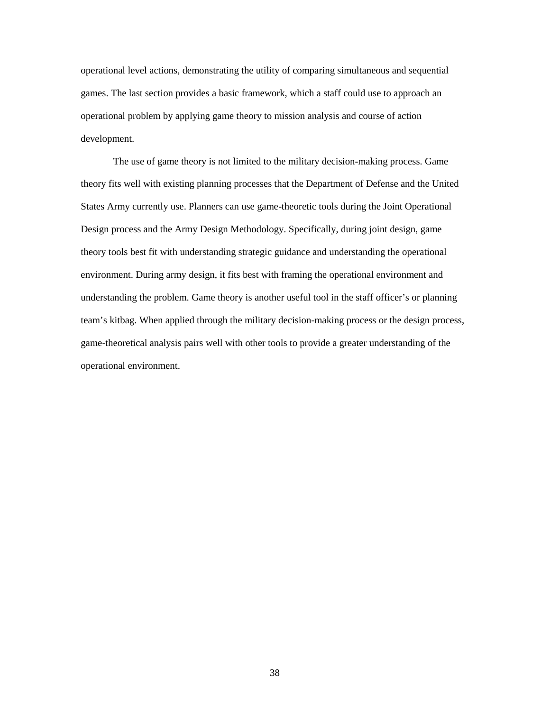operational level actions, demonstrating the utility of comparing simultaneous and sequential games. The last section provides a basic framework, which a staff could use to approach an operational problem by applying game theory to mission analysis and course of action development.

The use of game theory is not limited to the military decision-making process. Game theory fits well with existing planning processes that the Department of Defense and the United States Army currently use. Planners can use game-theoretic tools during the Joint Operational Design process and the Army Design Methodology. Specifically, during joint design, game theory tools best fit with understanding strategic guidance and understanding the operational environment. During army design, it fits best with framing the operational environment and understanding the problem. Game theory is another useful tool in the staff officer's or planning team's kitbag. When applied through the military decision-making process or the design process, game-theoretical analysis pairs well with other tools to provide a greater understanding of the operational environment.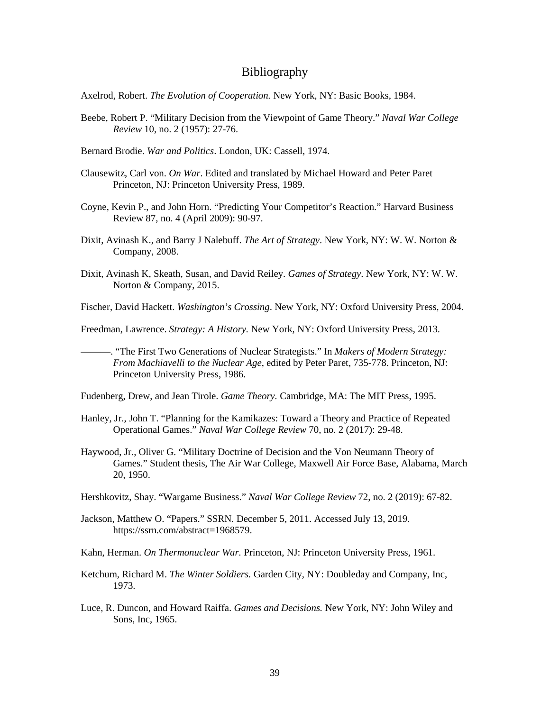#### Bibliography

<span id="page-45-0"></span>Axelrod, Robert. *The Evolution of Cooperation.* New York, NY: Basic Books, 1984.

- Beebe, Robert P. "Military Decision from the Viewpoint of Game Theory." *Naval War College Review* 10, no. 2 (1957): 27-76.
- Bernard Brodie. *War and Politics*. London, UK: Cassell, 1974.
- Clausewitz, Carl von. *On War*. Edited and translated by Michael Howard and Peter Paret Princeton, NJ: Princeton University Press, 1989.
- Coyne, Kevin P., and John Horn. "Predicting Your Competitor's Reaction." Harvard Business Review 87, no. 4 (April 2009): 90-97.
- Dixit, Avinash K., and Barry J Nalebuff. *The Art of Strategy*. New York, NY: W. W. Norton & Company, 2008.
- Dixit, Avinash K, Skeath, Susan, and David Reiley. *Games of Strategy*. New York, NY: W. W. Norton & Company, 2015.
- Fischer, David Hackett. *Washington's Crossing*. New York, NY: Oxford University Press, 2004.

Freedman, Lawrence. *Strategy: A History.* New York, NY: Oxford University Press, 2013.

———. "The First Two Generations of Nuclear Strategists." In *Makers of Modern Strategy: From Machiavelli to the Nuclear Age*, edited by Peter Paret, 735-778. Princeton, NJ: Princeton University Press, 1986.

Fudenberg, Drew, and Jean Tirole. *Game Theory.* Cambridge, MA: The MIT Press, 1995.

- Hanley, Jr., John T. "Planning for the Kamikazes: Toward a Theory and Practice of Repeated Operational Games." *Naval War College Review* 70, no. 2 (2017): 29-48.
- Haywood, Jr., Oliver G. "Military Doctrine of Decision and the Von Neumann Theory of Games." Student thesis, The Air War College, Maxwell Air Force Base, Alabama, March 20, 1950.
- Hershkovitz, Shay. "Wargame Business." *Naval War College Review* 72, no. 2 (2019): 67-82.
- Jackson, Matthew O. "Papers." SSRN*.* December 5, 2011. Accessed July 13, 2019. https://ssrn.com/abstract=1968579.

Kahn, Herman. *On Thermonuclear War.* Princeton, NJ: Princeton University Press, 1961.

- Ketchum, Richard M. *The Winter Soldiers.* Garden City, NY: Doubleday and Company, Inc, 1973.
- Luce, R. Duncon, and Howard Raiffa. *Games and Decisions.* New York, NY: John Wiley and Sons, Inc, 1965.